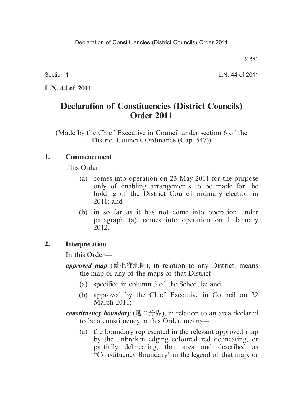B1581

Section 1

L.N. 44 of 2011

**L.N. 44 of 2011**

### **Declaration of Constituencies (District Councils) Order 2011**

(Made by the Chief Executive in Council under section 6 of the District Councils Ordinance (Cap. 547))

#### **1. Commencement**

This Order—

- (a) comes into operation on 23 May 2011 for the purpose only of enabling arrangements to be made for the holding of the District Council ordinary election in 2011; and
- (b) in so far as it has not come into operation under paragraph (a), comes into operation on 1 January 2012.

#### **2. Interpretation**

In this Order—

- *approved map* (獲批准地圖), in relation to any District, means the map or any of the maps of that District—
	- (a) specified in column 3 of the Schedule; and
	- (b) approved by the Chief Executive in Council on 22 March 2011;

*constituency boundary* (選區分界), in relation to an area declared to be a constituency in this Order, means—

 (a) the boundary represented in the relevant approved map by the unbroken edging coloured red delineating, or partially delineating, that area and described as "Constituency Boundary" in the legend of that map; or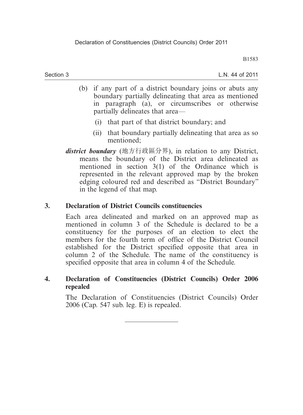B1583

Section 3

L.N. 44 of 2011

- (b) if any part of a district boundary joins or abuts any boundary partially delineating that area as mentioned in paragraph (a), or circumscribes or otherwise partially delineates that area—
	- (i) that part of that district boundary; and
	- (ii) that boundary partially delineating that area as so mentioned;
- *district boundary* (地方行政區分界), in relation to any District, means the boundary of the District area delineated as mentioned in section 3(1) of the Ordinance which is represented in the relevant approved map by the broken edging coloured red and described as "District Boundary" in the legend of that map.

#### **3. Declaration of District Councils constituencies**

Each area delineated and marked on an approved map as mentioned in column 3 of the Schedule is declared to be a constituency for the purposes of an election to elect the members for the fourth term of office of the District Council established for the District specified opposite that area in column 2 of the Schedule. The name of the constituency is specified opposite that area in column 4 of the Schedule.

#### **4. Declaration of Constituencies (District Councils) Order 2006 repealed**

The Declaration of Constituencies (District Councils) Order 2006 (Cap. 547 sub. leg. E) is repealed.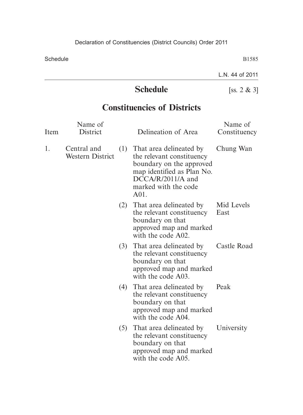B1585

L.N. 44 of 2011

# **Schedule** [ss. 2 & 3]

## **Constituencies of Districts**

| Item | Name of<br>District                    |     | Delineation of Area                                                                                                                                                   | Name of<br>Constituency |
|------|----------------------------------------|-----|-----------------------------------------------------------------------------------------------------------------------------------------------------------------------|-------------------------|
| 1.   | Central and<br><b>Western District</b> | (1) | That area delineated by<br>the relevant constituency<br>boundary on the approved<br>map identified as Plan No.<br>$DCCA/R/2011/A$ and<br>marked with the code<br>A01. | Chung Wan               |
|      |                                        | (2) | That area delineated by<br>the relevant constituency<br>boundary on that<br>approved map and marked<br>with the code A02.                                             | Mid Levels<br>East      |
|      |                                        |     | (3) That area delineated by<br>the relevant constituency<br>boundary on that<br>approved map and marked<br>with the code A03.                                         | Castle Road             |
|      |                                        | (4) | That area delineated by<br>the relevant constituency<br>boundary on that<br>approved map and marked<br>with the code A04.                                             | Peak                    |
|      |                                        | (5) | That area delineated by<br>the relevant constituency<br>boundary on that<br>approved map and marked<br>with the code A05.                                             | University              |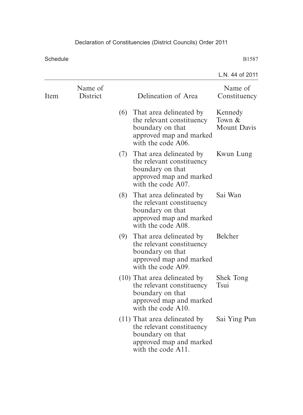|      |                     |                                               |                                                                                                                                  | L.N. 44 of 2011                         |
|------|---------------------|-----------------------------------------------|----------------------------------------------------------------------------------------------------------------------------------|-----------------------------------------|
| Item | Name of<br>District |                                               | Delineation of Area                                                                                                              | Name of<br>Constituency                 |
|      |                     | (6)                                           | That area delineated by<br>the relevant constituency<br>boundary on that<br>approved map and marked<br>with the code A06.        | Kennedy<br>Town &<br><b>Mount Davis</b> |
|      |                     |                                               | (7) That area delineated by<br>the relevant constituency<br>boundary on that<br>approved map and marked<br>with the code A07.    | Kwun Lung                               |
|      |                     |                                               | (8) That area delineated by<br>the relevant constituency<br>boundary on that<br>approved map and marked<br>with the code A08.    | Sai Wan                                 |
|      |                     | (9)<br>boundary on that<br>with the code A09. | That area delineated by<br>the relevant constituency<br>approved map and marked                                                  | Belcher                                 |
|      |                     |                                               | (10) That area delineated by<br>the relevant constituency<br>boundary on that<br>approved map and marked<br>with the code A10.   | <b>Shek Tong</b><br>Tsui                |
|      |                     |                                               | $(11)$ That area delineated by<br>the relevant constituency<br>boundary on that<br>approved map and marked<br>with the code A11. | Sai Ying Pun                            |
|      |                     |                                               |                                                                                                                                  |                                         |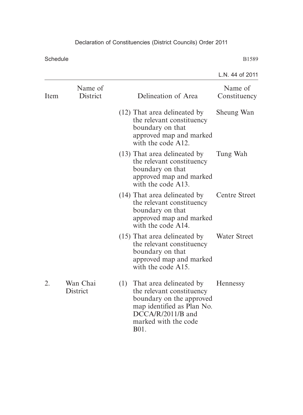|      |                      |                                                                                                                                                                                    | L.N. 44 of 2011         |
|------|----------------------|------------------------------------------------------------------------------------------------------------------------------------------------------------------------------------|-------------------------|
| Item | Name of<br>District  | Delineation of Area                                                                                                                                                                | Name of<br>Constituency |
|      |                      | (12) That area delineated by<br>the relevant constituency<br>boundary on that<br>approved map and marked<br>with the code A12.                                                     | Sheung Wan              |
|      |                      | (13) That area delineated by<br>the relevant constituency<br>boundary on that<br>approved map and marked<br>with the code A13.                                                     | Tung Wah                |
|      |                      | (14) That area delineated by<br>the relevant constituency<br>boundary on that<br>approved map and marked<br>with the code A14.                                                     | <b>Centre Street</b>    |
|      |                      | $(15)$ That area delineated by<br>the relevant constituency<br>boundary on that<br>approved map and marked<br>with the code A15.                                                   | <b>Water Street</b>     |
| 2.   | Wan Chai<br>District | $(1)$ That area delineated by<br>the relevant constituency<br>boundary on the approved<br>map identified as Plan No.<br>$DCCA/R/2011/B$ and<br>marked with the code<br><b>B01.</b> | Hennessy                |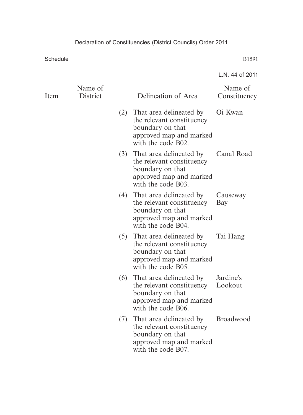|      |                            |     |                                                                                                                               | L.N. 44 of 2011         |
|------|----------------------------|-----|-------------------------------------------------------------------------------------------------------------------------------|-------------------------|
| Item | Name of<br><b>District</b> |     | Delineation of Area                                                                                                           | Name of<br>Constituency |
|      |                            |     | (2) That area delineated by<br>the relevant constituency<br>boundary on that<br>approved map and marked<br>with the code B02. | Oi Kwan                 |
|      |                            |     | (3) That area delineated by<br>the relevant constituency<br>boundary on that<br>approved map and marked<br>with the code B03. | Canal Road              |
|      |                            |     | (4) That area delineated by<br>the relevant constituency<br>boundary on that<br>approved map and marked<br>with the code B04. | Causeway<br>Bay         |
|      |                            |     | (5) That area delineated by<br>the relevant constituency<br>boundary on that<br>approved map and marked<br>with the code B05. | Tai Hang                |
|      |                            |     | (6) That area delineated by<br>the relevant constituency<br>boundary on that<br>approved map and marked<br>with the code B06. | Jardine's<br>Lookout    |
|      |                            | (7) | That area delineated by<br>the relevant constituency<br>boundary on that<br>approved map and marked<br>with the code B07.     | <b>Broadwood</b>        |
|      |                            |     |                                                                                                                               |                         |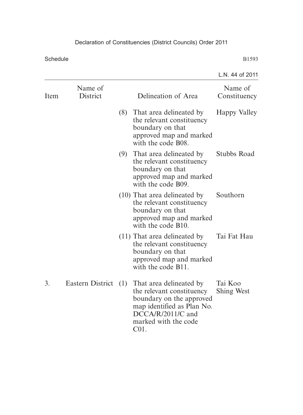|      |                     |                                                                                                                                                                            | L.N. 44 of 2011         |
|------|---------------------|----------------------------------------------------------------------------------------------------------------------------------------------------------------------------|-------------------------|
| Item | Name of<br>District | Delineation of Area                                                                                                                                                        | Name of<br>Constituency |
|      |                     | (8) That area delineated by<br>the relevant constituency<br>boundary on that<br>approved map and marked<br>with the code B08.                                              | Happy Valley            |
|      |                     | (9) That area delineated by<br>the relevant constituency<br>boundary on that<br>approved map and marked<br>with the code B09.                                              | Stubbs Road             |
|      |                     | (10) That area delineated by<br>the relevant constituency<br>boundary on that<br>approved map and marked<br>with the code B10.                                             | Southorn                |
|      |                     | $(11)$ That area delineated by<br>the relevant constituency<br>boundary on that<br>approved map and marked<br>with the code B11.                                           | Tai Fat Hau             |
| 3.   | Eastern District    | (1) That area delineated by<br>the relevant constituency<br>boundary on the approved<br>map identified as Plan No.<br>DCCA/R/2011/C and<br>marked with the code<br>$C01$ . | Tai Koo<br>Shing West   |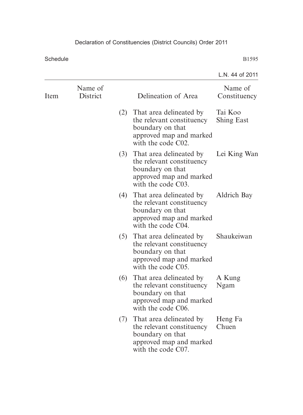|                     |     |                                                                                                                           | L.N. 44 of 2011                                                                                  |
|---------------------|-----|---------------------------------------------------------------------------------------------------------------------------|--------------------------------------------------------------------------------------------------|
| Name of<br>District |     | Delineation of Area                                                                                                       | Name of<br>Constituency                                                                          |
|                     |     | the relevant constituency<br>boundary on that<br>approved map and marked<br>with the code C02.                            | Tai Koo<br><b>Shing East</b>                                                                     |
|                     |     | the relevant constituency<br>boundary on that<br>approved map and marked<br>with the code C03.                            | Lei King Wan                                                                                     |
|                     |     | the relevant constituency<br>boundary on that<br>approved map and marked<br>with the code C04.                            | <b>Aldrich Bay</b>                                                                               |
|                     |     | That area delineated by<br>the relevant constituency<br>boundary on that<br>approved map and marked<br>with the code C05. | Shaukeiwan                                                                                       |
|                     | (6) | That area delineated by<br>the relevant constituency<br>boundary on that<br>approved map and marked<br>with the code C06. | A Kung<br>Ngam                                                                                   |
|                     | (7) | That area delineated by<br>the relevant constituency<br>boundary on that<br>approved map and marked<br>with the code C07. | Heng Fa<br>Chuen                                                                                 |
|                     |     |                                                                                                                           | (2) That area delineated by<br>(3) That area delineated by<br>(4) That area delineated by<br>(5) |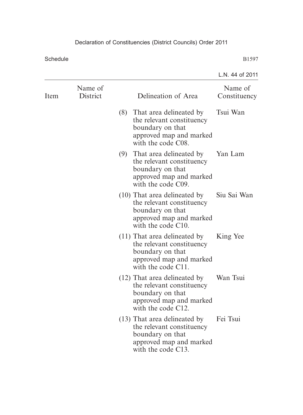|      |                     |                                                                                                                                  | L.N. 44 of 2011         |
|------|---------------------|----------------------------------------------------------------------------------------------------------------------------------|-------------------------|
| Item | Name of<br>District | Delineation of Area                                                                                                              | Name of<br>Constituency |
|      |                     | (8) That area delineated by<br>the relevant constituency<br>boundary on that<br>approved map and marked<br>with the code C08.    | Tsui Wan                |
|      |                     | (9) That area delineated by<br>the relevant constituency<br>boundary on that<br>approved map and marked<br>with the code C09.    | Yan Lam                 |
|      |                     | (10) That area delineated by<br>the relevant constituency<br>boundary on that<br>approved map and marked<br>with the code C10.   | Siu Sai Wan             |
|      |                     | $(11)$ That area delineated by<br>the relevant constituency<br>boundary on that<br>approved map and marked<br>with the code C11. | King Yee                |
|      |                     | (12) That area delineated by<br>the relevant constituency<br>boundary on that<br>approved map and marked<br>with the code C12.   | Wan Tsui                |
|      |                     | (13) That area delineated by<br>the relevant constituency<br>boundary on that<br>approved map and marked<br>with the code C13.   | Fei Tsui                |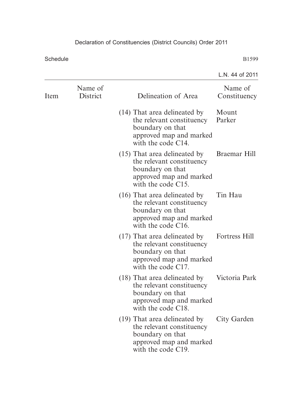|      |                     |                                                                                                                                   | L.N. 44 of 2011         |
|------|---------------------|-----------------------------------------------------------------------------------------------------------------------------------|-------------------------|
| Item | Name of<br>District | Delineation of Area                                                                                                               | Name of<br>Constituency |
|      |                     | (14) That area delineated by<br>the relevant constituency<br>boundary on that<br>approved map and marked<br>with the code $C14$ . | Mount<br>Parker         |
|      |                     | $(15)$ That area delineated by<br>the relevant constituency<br>boundary on that<br>approved map and marked<br>with the code C15.  | Braemar Hill            |
|      |                     | $(16)$ That area delineated by<br>the relevant constituency<br>boundary on that<br>approved map and marked<br>with the code C16.  | Tin Hau                 |
|      |                     | $(17)$ That area delineated by<br>the relevant constituency<br>boundary on that<br>approved map and marked<br>with the code C17.  | Fortress Hill           |
|      |                     | (18) That area delineated by<br>the relevant constituency<br>boundary on that<br>approved map and marked<br>with the code C18.    | Victoria Park           |
|      |                     | (19) That area delineated by<br>the relevant constituency<br>boundary on that<br>approved map and marked<br>with the code C19.    | City Garden             |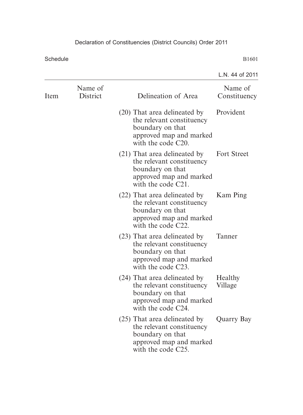|      |                     |                                                                                                                                   | L.N. 44 of 2011         |
|------|---------------------|-----------------------------------------------------------------------------------------------------------------------------------|-------------------------|
| Item | Name of<br>District | Delineation of Area                                                                                                               | Name of<br>Constituency |
|      |                     | (20) That area delineated by<br>the relevant constituency<br>boundary on that<br>approved map and marked<br>with the code C20.    | Provident               |
|      |                     | (21) That area delineated by<br>the relevant constituency<br>boundary on that<br>approved map and marked<br>with the code $C21$ . | <b>Fort Street</b>      |
|      |                     | (22) That area delineated by<br>the relevant constituency<br>boundary on that<br>approved map and marked<br>with the code C22.    | Kam Ping                |
|      |                     | (23) That area delineated by<br>the relevant constituency<br>boundary on that<br>approved map and marked<br>with the code C23.    | Tanner                  |
|      |                     | (24) That area delineated by<br>the relevant constituency<br>boundary on that<br>approved map and marked<br>with the code C24.    | Healthy<br>Village      |
|      |                     | (25) That area delineated by<br>the relevant constituency<br>boundary on that<br>approved map and marked<br>with the code C25.    | Quarry Bay              |
|      |                     |                                                                                                                                   |                         |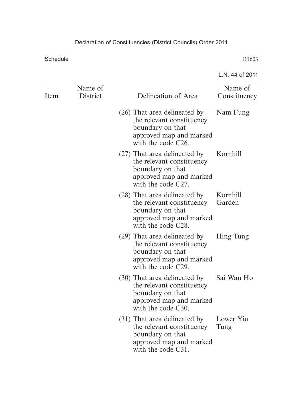|      |                     |                                                                                                                                | L.N. 44 of 2011         |
|------|---------------------|--------------------------------------------------------------------------------------------------------------------------------|-------------------------|
| Item | Name of<br>District | Delineation of Area                                                                                                            | Name of<br>Constituency |
|      |                     | (26) That area delineated by<br>the relevant constituency<br>boundary on that<br>approved map and marked<br>with the code C26. | Nam Fung                |
|      |                     | (27) That area delineated by<br>the relevant constituency<br>boundary on that<br>approved map and marked<br>with the code C27. | Kornhill                |
|      |                     | (28) That area delineated by<br>the relevant constituency<br>boundary on that<br>approved map and marked<br>with the code C28. | Kornhill<br>Garden      |
|      |                     | (29) That area delineated by<br>the relevant constituency<br>boundary on that<br>approved map and marked<br>with the code C29. | Hing Tung               |
|      |                     | (30) That area delineated by<br>the relevant constituency<br>boundary on that<br>approved map and marked<br>with the code C30. | Sai Wan Ho              |
|      |                     | (31) That area delineated by<br>the relevant constituency<br>boundary on that<br>approved map and marked<br>with the code C31. | Lower Yiu<br>Tung       |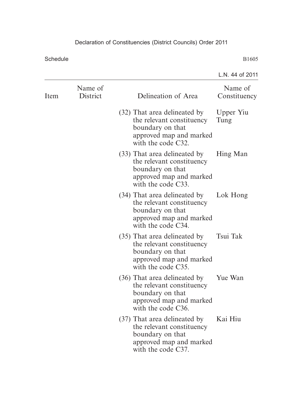|      |                     |                                                                                                                                | L.N. 44 of 2011         |
|------|---------------------|--------------------------------------------------------------------------------------------------------------------------------|-------------------------|
| Item | Name of<br>District | Delineation of Area                                                                                                            | Name of<br>Constituency |
|      |                     | (32) That area delineated by<br>the relevant constituency<br>boundary on that<br>approved map and marked<br>with the code C32. | Upper Yiu<br>Tung       |
|      |                     | (33) That area delineated by<br>the relevant constituency<br>boundary on that<br>approved map and marked<br>with the code C33. | Hing Man                |
|      |                     | (34) That area delineated by<br>the relevant constituency<br>boundary on that<br>approved map and marked<br>with the code C34. | Lok Hong                |
|      |                     | (35) That area delineated by<br>the relevant constituency<br>boundary on that<br>approved map and marked<br>with the code C35. | Tsui Tak                |
|      |                     | (36) That area delineated by<br>the relevant constituency<br>boundary on that<br>approved map and marked<br>with the code C36. | Yue Wan                 |
|      |                     | (37) That area delineated by<br>the relevant constituency<br>boundary on that<br>approved map and marked<br>with the code C37. | Kai Hiu                 |
|      |                     |                                                                                                                                |                         |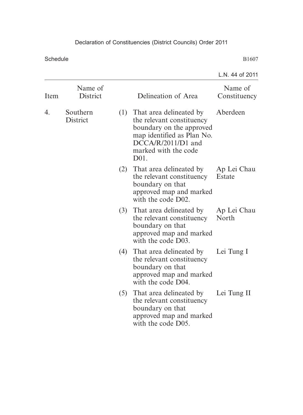|      |                      |     |                                                                                                                                                                            | L.N. 44 of 2011         |
|------|----------------------|-----|----------------------------------------------------------------------------------------------------------------------------------------------------------------------------|-------------------------|
| Item | Name of<br>District  |     | Delineation of Area                                                                                                                                                        | Name of<br>Constituency |
| 4.   | Southern<br>District |     | (1) That area delineated by<br>the relevant constituency<br>boundary on the approved<br>map identified as Plan No.<br>$DCCA/R/2011/D1$ and<br>marked with the code<br>D01. | Aberdeen                |
|      |                      |     | (2) That area delineated by<br>the relevant constituency<br>boundary on that<br>approved map and marked<br>with the code D02.                                              | Ap Lei Chau<br>Estate   |
|      |                      |     | (3) That area delineated by<br>the relevant constituency<br>boundary on that<br>approved map and marked<br>with the code D03.                                              | Ap Lei Chau<br>North    |
|      |                      | (4) | That area delineated by<br>the relevant constituency<br>boundary on that<br>approved map and marked<br>with the code D04.                                                  | Lei Tung I              |
|      |                      | (5) | That area delineated by<br>the relevant constituency<br>boundary on that<br>approved map and marked<br>with the code D05.                                                  | Lei Tung II             |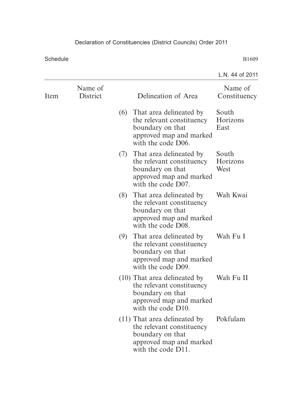|                     |     |                                                                                                                           | L.N. 44 of 2011                                                                                                                                             |
|---------------------|-----|---------------------------------------------------------------------------------------------------------------------------|-------------------------------------------------------------------------------------------------------------------------------------------------------------|
| Name of<br>District |     | Delineation of Area                                                                                                       | Name of<br>Constituency                                                                                                                                     |
|                     |     | the relevant constituency<br>boundary on that<br>approved map and marked<br>with the code D06.                            | South<br>Horizons<br>East                                                                                                                                   |
|                     |     | the relevant constituency<br>boundary on that<br>approved map and marked<br>with the code D07.                            | South<br>Horizons<br>West                                                                                                                                   |
|                     |     | the relevant constituency<br>boundary on that<br>approved map and marked<br>with the code D08.                            | Wah Kwai                                                                                                                                                    |
|                     | (9) | That area delineated by<br>the relevant constituency<br>boundary on that<br>approved map and marked<br>with the code D09. | Wah Fu I                                                                                                                                                    |
|                     |     | the relevant constituency<br>boundary on that<br>approved map and marked<br>with the code D10.                            | Wah Fu II                                                                                                                                                   |
|                     |     | the relevant constituency<br>boundary on that<br>approved map and marked<br>with the code D11.                            | Pokfulam                                                                                                                                                    |
|                     |     |                                                                                                                           | (6) That area delineated by<br>(7) That area delineated by<br>(8) That area delineated by<br>(10) That area delineated by<br>$(11)$ That area delineated by |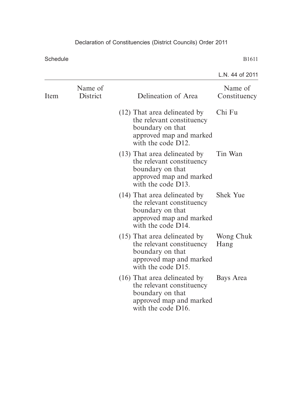|      |                     |                                                                                                                                  | L.N. 44 of 2011         |
|------|---------------------|----------------------------------------------------------------------------------------------------------------------------------|-------------------------|
| Item | Name of<br>District | Delineation of Area                                                                                                              | Name of<br>Constituency |
|      |                     | (12) That area delineated by<br>the relevant constituency<br>boundary on that<br>approved map and marked<br>with the code D12.   | Chi Fu                  |
|      |                     | (13) That area delineated by<br>the relevant constituency<br>boundary on that<br>approved map and marked<br>with the code D13.   | Tin Wan                 |
|      |                     | (14) That area delineated by<br>the relevant constituency<br>boundary on that<br>approved map and marked<br>with the code D14.   | <b>Shek Yue</b>         |
|      |                     | $(15)$ That area delineated by<br>the relevant constituency<br>boundary on that<br>approved map and marked<br>with the code D15. | Wong Chuk<br>Hang       |
|      |                     | (16) That area delineated by<br>the relevant constituency<br>boundary on that<br>approved map and marked<br>with the code D16.   | Bays Area               |
|      |                     |                                                                                                                                  |                         |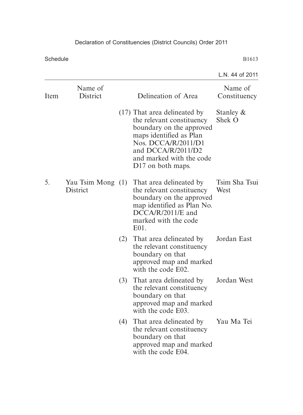|                |                     |     |                                                                                                                                                                                                                            | L.N. 44 of 2011         |
|----------------|---------------------|-----|----------------------------------------------------------------------------------------------------------------------------------------------------------------------------------------------------------------------------|-------------------------|
| Item           | Name of<br>District |     | Delineation of Area                                                                                                                                                                                                        | Name of<br>Constituency |
|                |                     |     | (17) That area delineated by<br>the relevant constituency<br>boundary on the approved<br>maps identified as Plan<br>Nos. DCCA/R/2011/D1<br>and DCCA/R/2011/D2<br>and marked with the code<br>D <sub>17</sub> on both maps. | Stanley &<br>Shek O     |
| 5.<br>District | Yau Tsim Mong (1)   |     | That area delineated by<br>the relevant constituency<br>boundary on the approved<br>map identified as Plan No.<br>$DCCA/R/2011/E$ and<br>marked with the code<br>E01.                                                      | Tsim Sha Tsui<br>West   |
|                |                     | (2) | That area delineated by<br>the relevant constituency<br>boundary on that<br>approved map and marked<br>with the code E02.                                                                                                  | Jordan East             |
|                |                     | (3) | That area delineated by<br>the relevant constituency<br>boundary on that<br>approved map and marked<br>with the code E03.                                                                                                  | Jordan West             |
|                |                     | (4) | That area delineated by<br>the relevant constituency<br>boundary on that<br>approved map and marked<br>with the code E04.                                                                                                  | Yau Ma Tei              |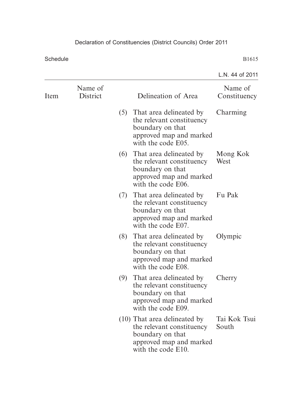|      |                            |                                                                                                                           |                                                                                                                                  | L.N. 44 of 2011         |
|------|----------------------------|---------------------------------------------------------------------------------------------------------------------------|----------------------------------------------------------------------------------------------------------------------------------|-------------------------|
| Item | Name of<br><b>District</b> |                                                                                                                           | Delineation of Area                                                                                                              | Name of<br>Constituency |
|      |                            |                                                                                                                           | (5) That area delineated by<br>the relevant constituency<br>boundary on that<br>approved map and marked<br>with the code E05.    | Charming                |
|      |                            |                                                                                                                           | (6) That area delineated by<br>the relevant constituency<br>boundary on that<br>approved map and marked<br>with the code E06.    | Mong Kok<br>West        |
|      |                            |                                                                                                                           | (7) That area delineated by<br>the relevant constituency<br>boundary on that<br>approved map and marked<br>with the code E07.    | Fu Pak                  |
|      | (8)                        | That area delineated by<br>the relevant constituency<br>boundary on that<br>approved map and marked<br>with the code E08. | Olympic                                                                                                                          |                         |
|      |                            | (9)                                                                                                                       | That area delineated by<br>the relevant constituency<br>boundary on that<br>approved map and marked<br>with the code E09.        | Cherry                  |
|      |                            |                                                                                                                           | $(10)$ That area delineated by<br>the relevant constituency<br>boundary on that<br>approved map and marked<br>with the code E10. | Tai Kok Tsui<br>South   |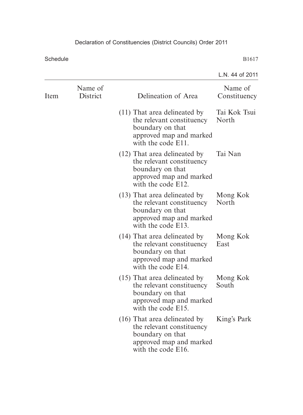|      |                     |                                                                                                                                  | L.N. 44 of 2011         |
|------|---------------------|----------------------------------------------------------------------------------------------------------------------------------|-------------------------|
| Item | Name of<br>District | Delineation of Area                                                                                                              | Name of<br>Constituency |
|      |                     | $(11)$ That area delineated by<br>the relevant constituency<br>boundary on that<br>approved map and marked<br>with the code E11. | Tai Kok Tsui<br>North   |
|      |                     | (12) That area delineated by<br>the relevant constituency<br>boundary on that<br>approved map and marked<br>with the code E12.   | Tai Nan                 |
|      |                     | $(13)$ That area delineated by<br>the relevant constituency<br>boundary on that<br>approved map and marked<br>with the code E13. | Mong Kok<br>North       |
|      |                     | (14) That area delineated by<br>the relevant constituency<br>boundary on that<br>approved map and marked<br>with the code E14.   | Mong Kok<br>East        |
|      |                     | $(15)$ That area delineated by<br>the relevant constituency<br>boundary on that<br>approved map and marked<br>with the code E15. | Mong Kok<br>South       |
|      |                     | $(16)$ That area delineated by<br>the relevant constituency<br>boundary on that<br>approved map and marked<br>with the code E16. | King's Park             |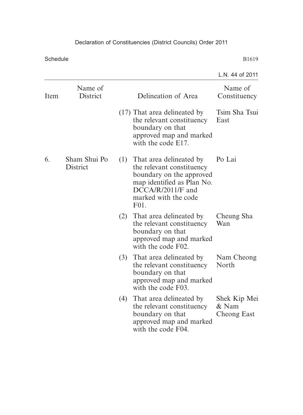|      |                          |     |                                                                                                                                                                     | L.N. 44 of 2011                      |
|------|--------------------------|-----|---------------------------------------------------------------------------------------------------------------------------------------------------------------------|--------------------------------------|
| Item | Name of<br>District      |     | Delineation of Area                                                                                                                                                 | Name of<br>Constituency              |
|      |                          |     | $(17)$ That area delineated by<br>the relevant constituency<br>boundary on that<br>approved map and marked<br>with the code E17.                                    | Tsim Sha Tsui<br>East                |
| 6.   | Sham Shui Po<br>District | (1) | That area delineated by<br>the relevant constituency<br>boundary on the approved<br>map identified as Plan No.<br>DCCA/R/2011/F and<br>marked with the code<br>F01. | Po Lai                               |
|      |                          | (2) | That area delineated by<br>the relevant constituency<br>boundary on that<br>approved map and marked<br>with the code F02.                                           | Cheung Sha<br>Wan                    |
|      |                          | (3) | That area delineated by<br>the relevant constituency<br>boundary on that<br>approved map and marked<br>with the code F03.                                           | Nam Cheong<br>North                  |
|      |                          | (4) | That area delineated by<br>the relevant constituency<br>boundary on that<br>approved map and marked<br>with the code F04.                                           | Shek Kip Mei<br>& Nam<br>Cheong East |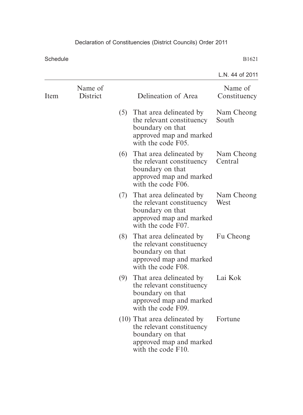|      |                     |     |                                                                                                                                  | L.N. 44 of 2011         |
|------|---------------------|-----|----------------------------------------------------------------------------------------------------------------------------------|-------------------------|
| Item | Name of<br>District |     | Delineation of Area                                                                                                              | Name of<br>Constituency |
|      |                     |     | (5) That area delineated by<br>the relevant constituency<br>boundary on that<br>approved map and marked<br>with the code F05.    | Nam Cheong<br>South     |
|      |                     | (6) | That area delineated by<br>the relevant constituency<br>boundary on that<br>approved map and marked<br>with the code F06.        | Nam Cheong<br>Central   |
|      |                     |     | (7) That area delineated by<br>the relevant constituency<br>boundary on that<br>approved map and marked<br>with the code F07.    | Nam Cheong<br>West      |
|      |                     | (8) | That area delineated by<br>the relevant constituency<br>boundary on that<br>approved map and marked<br>with the code F08.        | Fu Cheong               |
|      |                     | (9) | That area delineated by<br>the relevant constituency<br>boundary on that<br>approved map and marked<br>with the code F09.        | Lai Kok                 |
|      |                     |     | $(10)$ That area delineated by<br>the relevant constituency<br>boundary on that<br>approved map and marked<br>with the code F10. | Fortune                 |
|      |                     |     |                                                                                                                                  |                         |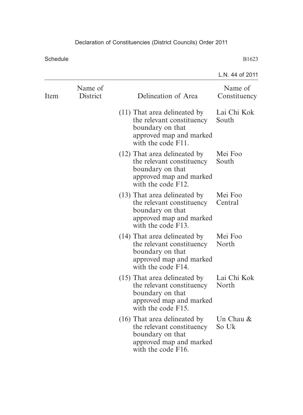|      |                     |                                                                                                                                  | L.N. 44 of 2011         |
|------|---------------------|----------------------------------------------------------------------------------------------------------------------------------|-------------------------|
| Item | Name of<br>District | Delineation of Area                                                                                                              | Name of<br>Constituency |
|      |                     | $(11)$ That area delineated by<br>the relevant constituency<br>boundary on that<br>approved map and marked<br>with the code F11. | Lai Chi Kok<br>South    |
|      |                     | (12) That area delineated by<br>the relevant constituency<br>boundary on that<br>approved map and marked<br>with the code F12.   | Mei Foo<br>South        |
|      |                     | (13) That area delineated by<br>the relevant constituency<br>boundary on that<br>approved map and marked<br>with the code F13.   | Mei Foo<br>Central      |
|      |                     | (14) That area delineated by<br>the relevant constituency<br>boundary on that<br>approved map and marked<br>with the code F14.   | Mei Foo<br>North        |
|      |                     | $(15)$ That area delineated by<br>the relevant constituency<br>boundary on that<br>approved map and marked<br>with the code F15. | Lai Chi Kok<br>North    |
|      |                     | (16) That area delineated by<br>the relevant constituency<br>boundary on that<br>approved map and marked<br>with the code F16.   | Un Chau $\&$<br>So Uk   |
|      |                     |                                                                                                                                  |                         |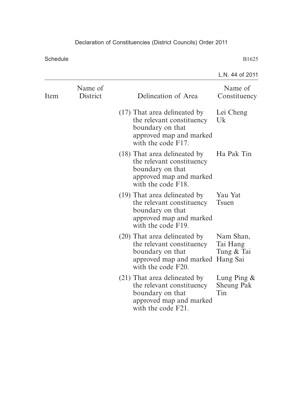|                     |                                                                                                                                | L.N. 44 of 2011                                 |
|---------------------|--------------------------------------------------------------------------------------------------------------------------------|-------------------------------------------------|
| Name of<br>District | Delineation of Area                                                                                                            | Name of<br>Constituency                         |
|                     | (17) That area delineated by<br>the relevant constituency<br>boundary on that<br>approved map and marked<br>with the code F17. | Lei Cheng<br>Uk                                 |
|                     | (18) That area delineated by<br>the relevant constituency<br>boundary on that<br>approved map and marked<br>with the code F18. | Ha Pak Tin                                      |
|                     | (19) That area delineated by<br>the relevant constituency<br>boundary on that<br>approved map and marked<br>with the code F19. | Yau Yat<br><b>T</b> suen                        |
|                     | (20) That area delineated by<br>the relevant constituency<br>boundary on that<br>approved map and marked<br>with the code F20. | Nam Shan,<br>Tai Hang<br>Tung & Tai<br>Hang Sai |
|                     | (21) That area delineated by<br>the relevant constituency<br>boundary on that<br>approved map and marked<br>with the code F21. | Lung Ping $\&$<br><b>Sheung Pak</b><br>Tin      |
|                     |                                                                                                                                |                                                 |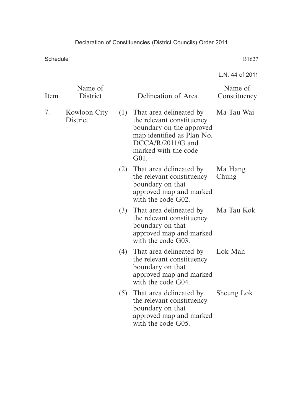|                       |                     |     |                                                                                                                                                                           | L.N. 44 of 2011         |
|-----------------------|---------------------|-----|---------------------------------------------------------------------------------------------------------------------------------------------------------------------------|-------------------------|
| Item                  | Name of<br>District |     | Delineation of Area                                                                                                                                                       | Name of<br>Constituency |
| 7.<br><b>District</b> | Kowloon City        |     | (1) That area delineated by<br>the relevant constituency<br>boundary on the approved<br>map identified as Plan No.<br>$DCCA/R/2011/G$ and<br>marked with the code<br>G01. | Ma Tau Wai              |
|                       |                     | (2) | That area delineated by<br>the relevant constituency<br>boundary on that<br>approved map and marked<br>with the code G02.                                                 | Ma Hang<br>Chung        |
|                       |                     |     | (3) That area delineated by<br>the relevant constituency<br>boundary on that<br>approved map and marked<br>with the code G03.                                             | Ma Tau Kok              |
|                       |                     | (4) | That area delineated by<br>the relevant constituency<br>boundary on that<br>approved map and marked<br>with the code G04.                                                 | Lok Man                 |
|                       |                     | (5) | That area delineated by<br>the relevant constituency<br>boundary on that<br>approved map and marked<br>with the code G05.                                                 | Sheung Lok              |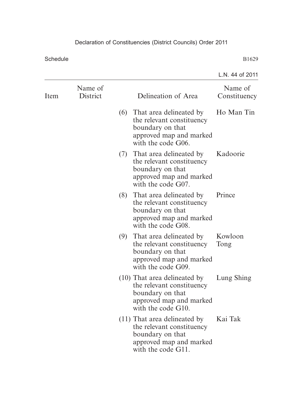|      |                     |     |                                                                                                                                  | L.N. 44 of 2011         |
|------|---------------------|-----|----------------------------------------------------------------------------------------------------------------------------------|-------------------------|
| Item | Name of<br>District |     | Delineation of Area                                                                                                              | Name of<br>Constituency |
|      |                     |     | (6) That area delineated by<br>the relevant constituency<br>boundary on that<br>approved map and marked<br>with the code G06.    | Ho Man Tin              |
|      |                     |     | (7) That area delineated by<br>the relevant constituency<br>boundary on that<br>approved map and marked<br>with the code G07.    | Kadoorie                |
|      |                     |     | (8) That area delineated by<br>the relevant constituency<br>boundary on that<br>approved map and marked<br>with the code G08.    | Prince                  |
|      |                     | (9) | That area delineated by<br>the relevant constituency<br>boundary on that<br>approved map and marked<br>with the code G09.        | Kowloon<br>Tong         |
|      |                     |     | $(10)$ That area delineated by<br>the relevant constituency<br>boundary on that<br>approved map and marked<br>with the code G10. | Lung Shing              |
|      |                     |     | $(11)$ That area delineated by<br>the relevant constituency<br>boundary on that<br>approved map and marked<br>with the code G11. | Kai Tak                 |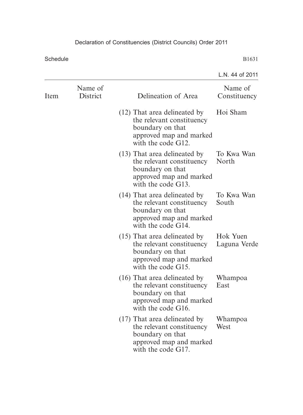|      |                     |                                                                                                                                | L.N. 44 of 2011          |
|------|---------------------|--------------------------------------------------------------------------------------------------------------------------------|--------------------------|
| Item | Name of<br>District | Delineation of Area                                                                                                            | Name of<br>Constituency  |
|      |                     | (12) That area delineated by<br>the relevant constituency<br>boundary on that<br>approved map and marked<br>with the code G12. | Hoi Sham                 |
|      |                     | (13) That area delineated by<br>the relevant constituency<br>boundary on that<br>approved map and marked<br>with the code G13. | To Kwa Wan<br>North      |
|      |                     | (14) That area delineated by<br>the relevant constituency<br>boundary on that<br>approved map and marked<br>with the code G14. | To Kwa Wan<br>South      |
|      |                     | (15) That area delineated by<br>the relevant constituency<br>boundary on that<br>approved map and marked<br>with the code G15. | Hok Yuen<br>Laguna Verde |
|      |                     | (16) That area delineated by<br>the relevant constituency<br>boundary on that<br>approved map and marked<br>with the code G16. | Whampoa<br>East          |
|      |                     | (17) That area delineated by<br>the relevant constituency<br>boundary on that<br>approved map and marked<br>with the code G17. | Whampoa<br>West          |
|      |                     |                                                                                                                                |                          |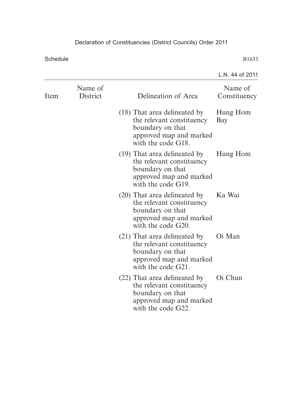|                     |                                                                                                                                | L.N. 44 of 2011         |
|---------------------|--------------------------------------------------------------------------------------------------------------------------------|-------------------------|
| Name of<br>District | Delineation of Area                                                                                                            | Name of<br>Constituency |
|                     | (18) That area delineated by<br>the relevant constituency<br>boundary on that<br>approved map and marked<br>with the code G18. | Hung Hom<br>Bay         |
|                     | (19) That area delineated by<br>the relevant constituency<br>boundary on that<br>approved map and marked<br>with the code G19. | Hung Hom                |
|                     | (20) That area delineated by<br>the relevant constituency<br>boundary on that<br>approved map and marked<br>with the code G20. | Ka Wai                  |
|                     | (21) That area delineated by<br>the relevant constituency<br>boundary on that<br>approved map and marked<br>with the code G21. | Oi Man                  |
|                     | (22) That area delineated by<br>the relevant constituency<br>boundary on that<br>approved map and marked<br>with the code G22. | Oi Chun                 |
|                     |                                                                                                                                |                         |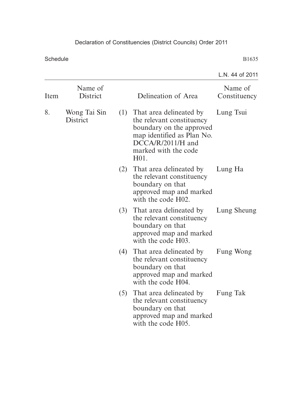|                                |                     |     |                                                                                                                                                                                      | L.N. 44 of 2011         |
|--------------------------------|---------------------|-----|--------------------------------------------------------------------------------------------------------------------------------------------------------------------------------------|-------------------------|
| Item                           | Name of<br>District |     | Delineation of Area                                                                                                                                                                  | Name of<br>Constituency |
| 8.<br>Wong Tai Sin<br>District |                     |     | (1) That area delineated by<br>the relevant constituency<br>boundary on the approved<br>map identified as Plan No.<br>DCCA/R/2011/H and<br>marked with the code<br>H <sub>01</sub> . | Lung Tsui               |
|                                |                     | (2) | That area delineated by<br>the relevant constituency<br>boundary on that<br>approved map and marked<br>with the code H02.                                                            | Lung Ha                 |
|                                |                     |     | (3) That area delineated by<br>the relevant constituency<br>boundary on that<br>approved map and marked<br>with the code H03.                                                        | Lung Sheung             |
|                                |                     | (4) | That area delineated by<br>the relevant constituency<br>boundary on that<br>approved map and marked<br>with the code H04.                                                            | Fung Wong               |
|                                |                     | (5) | That area delineated by<br>the relevant constituency<br>boundary on that<br>approved map and marked<br>with the code H05.                                                            | Fung Tak                |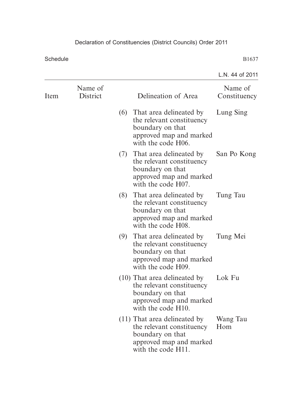|      |                     |     |                                                                                                                                  | L.N. 44 of 2011         |
|------|---------------------|-----|----------------------------------------------------------------------------------------------------------------------------------|-------------------------|
| Item | Name of<br>District |     | Delineation of Area                                                                                                              | Name of<br>Constituency |
|      |                     |     | (6) That area delineated by<br>the relevant constituency<br>boundary on that<br>approved map and marked<br>with the code H06.    | Lung Sing               |
|      |                     |     | (7) That area delineated by<br>the relevant constituency<br>boundary on that<br>approved map and marked<br>with the code H07.    | San Po Kong             |
|      |                     | (8) | That area delineated by<br>the relevant constituency<br>boundary on that<br>approved map and marked<br>with the code H08.        | Tung Tau                |
|      |                     |     | (9) That area delineated by<br>the relevant constituency<br>boundary on that<br>approved map and marked<br>with the code H09.    | Tung Mei                |
|      |                     |     | $(10)$ That area delineated by<br>the relevant constituency<br>boundary on that<br>approved map and marked<br>with the code H10. | Lok Fu                  |
|      |                     |     | $(11)$ That area delineated by<br>the relevant constituency<br>boundary on that<br>approved map and marked<br>with the code H11. | Wang Tau<br>Hom         |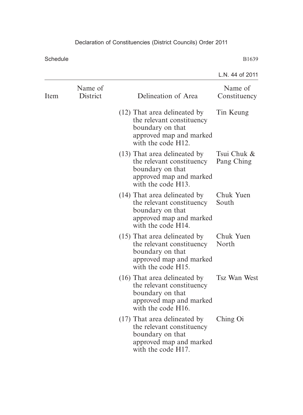|      |                     |                                                                                                                                  | L.N. 44 of 2011           |
|------|---------------------|----------------------------------------------------------------------------------------------------------------------------------|---------------------------|
| Item | Name of<br>District | Delineation of Area                                                                                                              | Name of<br>Constituency   |
|      |                     | (12) That area delineated by<br>the relevant constituency<br>boundary on that<br>approved map and marked<br>with the code H12.   | Tin Keung                 |
|      |                     | (13) That area delineated by<br>the relevant constituency<br>boundary on that<br>approved map and marked<br>with the code H13.   | Tsui Chuk &<br>Pang Ching |
|      |                     | (14) That area delineated by<br>the relevant constituency<br>boundary on that<br>approved map and marked<br>with the code H14.   | Chuk Yuen<br>South        |
|      |                     | $(15)$ That area delineated by<br>the relevant constituency<br>boundary on that<br>approved map and marked<br>with the code H15. | Chuk Yuen<br>North        |
|      |                     | $(16)$ That area delineated by<br>the relevant constituency<br>boundary on that<br>approved map and marked<br>with the code H16. | <b>Tsz Wan West</b>       |
|      |                     | (17) That area delineated by<br>the relevant constituency<br>boundary on that<br>approved map and marked<br>with the code H17.   | Ching Oi                  |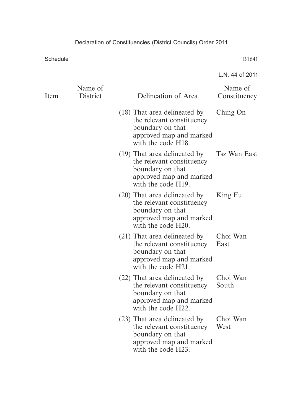|      |                                                                                                                                |                                                                                                                                | L.N. 44 of 2011         |
|------|--------------------------------------------------------------------------------------------------------------------------------|--------------------------------------------------------------------------------------------------------------------------------|-------------------------|
| Item | Name of<br>District                                                                                                            | Delineation of Area                                                                                                            | Name of<br>Constituency |
|      |                                                                                                                                | (18) That area delineated by<br>the relevant constituency<br>boundary on that<br>approved map and marked<br>with the code H18. | Ching On                |
|      |                                                                                                                                | (19) That area delineated by<br>the relevant constituency<br>boundary on that<br>approved map and marked<br>with the code H19. | <b>Tsz Wan East</b>     |
|      |                                                                                                                                | (20) That area delineated by<br>the relevant constituency<br>boundary on that<br>approved map and marked<br>with the code H20. | King Fu                 |
|      | (21) That area delineated by<br>the relevant constituency<br>boundary on that<br>approved map and marked<br>with the code H21. | Choi Wan<br>East                                                                                                               |                         |
|      |                                                                                                                                | (22) That area delineated by<br>the relevant constituency<br>boundary on that<br>approved map and marked<br>with the code H22. | Choi Wan<br>South       |
|      |                                                                                                                                | (23) That area delineated by<br>the relevant constituency<br>boundary on that<br>approved map and marked<br>with the code H23. | Choi Wan<br>West        |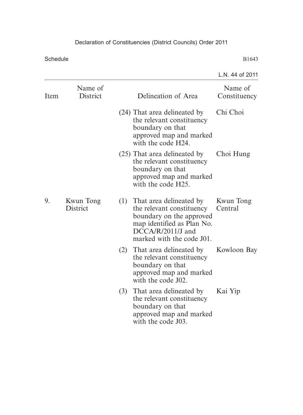|      |                              |     |                                                                                                                                                                        | L.N. 44 of 2011         |
|------|------------------------------|-----|------------------------------------------------------------------------------------------------------------------------------------------------------------------------|-------------------------|
| Item | Name of<br>District          |     | Delineation of Area                                                                                                                                                    | Name of<br>Constituency |
|      |                              |     | (24) That area delineated by<br>the relevant constituency<br>boundary on that<br>approved map and marked<br>with the code H24.                                         | Chi Choi                |
|      |                              |     | (25) That area delineated by<br>the relevant constituency<br>boundary on that<br>approved map and marked<br>with the code H25.                                         | Choi Hung               |
| 9.   | Kwun Tong<br><b>District</b> |     | (1) That area delineated by<br>the relevant constituency<br>boundary on the approved<br>map identified as Plan No.<br>$DCCA/R/2011/J$ and<br>marked with the code J01. | Kwun Tong<br>Central    |
|      |                              |     | (2) That area delineated by<br>the relevant constituency<br>boundary on that<br>approved map and marked<br>with the code J02.                                          | Kowloon Bay             |
|      |                              | (3) | That area delineated by<br>the relevant constituency<br>boundary on that<br>approved map and marked<br>with the code J03.                                              | Kai Yip                 |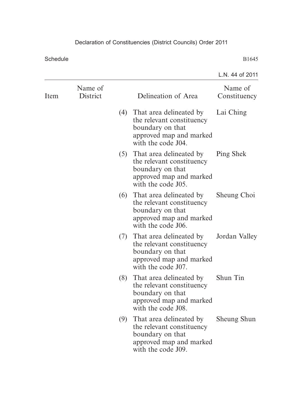|                     |     |                                                                                                                           | L.N. 44 of 2011                                                                                                          |
|---------------------|-----|---------------------------------------------------------------------------------------------------------------------------|--------------------------------------------------------------------------------------------------------------------------|
| Name of<br>District |     | Delineation of Area                                                                                                       | Name of<br>Constituency                                                                                                  |
|                     |     | the relevant constituency<br>boundary on that<br>approved map and marked<br>with the code J04.                            | Lai Ching                                                                                                                |
|                     |     | the relevant constituency<br>boundary on that<br>approved map and marked<br>with the code J05.                            | Ping Shek                                                                                                                |
|                     |     | the relevant constituency<br>boundary on that<br>approved map and marked<br>with the code J06.                            | Sheung Choi                                                                                                              |
|                     |     | the relevant constituency<br>boundary on that<br>approved map and marked<br>with the code J07.                            | Jordan Valley                                                                                                            |
|                     | (8) | That area delineated by<br>the relevant constituency<br>boundary on that<br>approved map and marked<br>with the code J08. | Shun Tin                                                                                                                 |
|                     | (9) | That area delineated by<br>the relevant constituency<br>boundary on that<br>approved map and marked<br>with the code J09. | Sheung Shun                                                                                                              |
|                     |     |                                                                                                                           | (4) That area delineated by<br>(5) That area delineated by<br>(6) That area delineated by<br>(7) That area delineated by |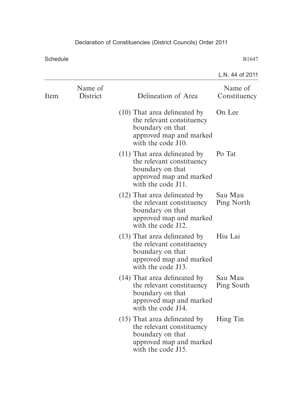|      |                     |                                                                                                                                  | L.N. 44 of 2011         |
|------|---------------------|----------------------------------------------------------------------------------------------------------------------------------|-------------------------|
| Item | Name of<br>District | Delineation of Area                                                                                                              | Name of<br>Constituency |
|      |                     | $(10)$ That area delineated by<br>the relevant constituency<br>boundary on that<br>approved map and marked<br>with the code J10. | On Lee                  |
|      |                     | $(11)$ That area delineated by<br>the relevant constituency<br>boundary on that<br>approved map and marked<br>with the code J11. | Po Tat                  |
|      |                     | (12) That area delineated by<br>the relevant constituency<br>boundary on that<br>approved map and marked<br>with the code J12.   | Sau Mau<br>Ping North   |
|      |                     | (13) That area delineated by<br>the relevant constituency<br>boundary on that<br>approved map and marked<br>with the code J13.   | Hiu Lai                 |
|      |                     | (14) That area delineated by<br>the relevant constituency<br>boundary on that<br>approved map and marked<br>with the code J14.   | Sau Mau<br>Ping South   |
|      |                     | $(15)$ That area delineated by<br>the relevant constituency<br>boundary on that<br>approved map and marked<br>with the code J15. | Hing Tin                |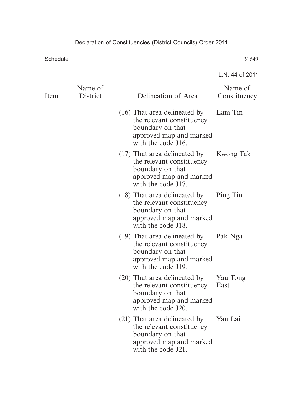|      |                     |                                                                                                                                  | L.N. 44 of 2011         |
|------|---------------------|----------------------------------------------------------------------------------------------------------------------------------|-------------------------|
| Item | Name of<br>District | Delineation of Area                                                                                                              | Name of<br>Constituency |
|      |                     | $(16)$ That area delineated by<br>the relevant constituency<br>boundary on that<br>approved map and marked<br>with the code J16. | Lam Tin                 |
|      |                     | $(17)$ That area delineated by<br>the relevant constituency<br>boundary on that<br>approved map and marked<br>with the code J17. | <b>Kwong Tak</b>        |
|      |                     | (18) That area delineated by<br>the relevant constituency<br>boundary on that<br>approved map and marked<br>with the code J18.   | Ping Tin                |
|      |                     | (19) That area delineated by<br>the relevant constituency<br>boundary on that<br>approved map and marked<br>with the code J19.   | Pak Nga                 |
|      |                     | (20) That area delineated by<br>the relevant constituency<br>boundary on that<br>approved map and marked<br>with the code J20.   | Yau Tong<br>East        |
|      |                     | (21) That area delineated by<br>the relevant constituency<br>boundary on that<br>approved map and marked<br>with the code J21.   | Yau Lai                 |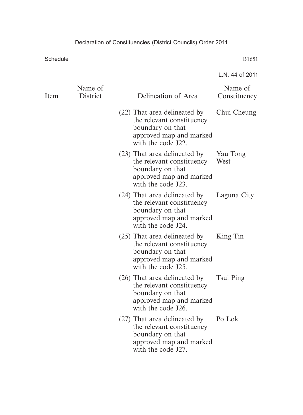|      |                     |                                                                                                                                | L.N. 44 of 2011         |
|------|---------------------|--------------------------------------------------------------------------------------------------------------------------------|-------------------------|
| Item | Name of<br>District | Delineation of Area                                                                                                            | Name of<br>Constituency |
|      |                     | (22) That area delineated by<br>the relevant constituency<br>boundary on that<br>approved map and marked<br>with the code J22. | Chui Cheung             |
|      |                     | (23) That area delineated by<br>the relevant constituency<br>boundary on that<br>approved map and marked<br>with the code J23. | Yau Tong<br>West        |
|      |                     | (24) That area delineated by<br>the relevant constituency<br>boundary on that<br>approved map and marked<br>with the code J24. | Laguna City             |
|      |                     | (25) That area delineated by<br>the relevant constituency<br>boundary on that<br>approved map and marked<br>with the code J25. | King Tin                |
|      |                     | (26) That area delineated by<br>the relevant constituency<br>boundary on that<br>approved map and marked<br>with the code J26. | Tsui Ping               |
|      |                     | (27) That area delineated by<br>the relevant constituency<br>boundary on that<br>approved map and marked<br>with the code J27. | Po Lok                  |
|      |                     |                                                                                                                                |                         |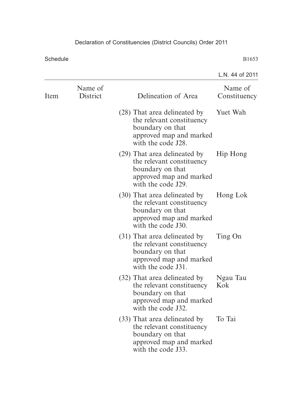|      |                     |                                                                                                                                | L.N. 44 of 2011         |
|------|---------------------|--------------------------------------------------------------------------------------------------------------------------------|-------------------------|
| Item | Name of<br>District | Delineation of Area                                                                                                            | Name of<br>Constituency |
|      |                     | (28) That area delineated by<br>the relevant constituency<br>boundary on that<br>approved map and marked<br>with the code J28. | Yuet Wah                |
|      |                     | (29) That area delineated by<br>the relevant constituency<br>boundary on that<br>approved map and marked<br>with the code J29. | Hip Hong                |
|      |                     | (30) That area delineated by<br>the relevant constituency<br>boundary on that<br>approved map and marked<br>with the code J30. | Hong Lok                |
|      |                     | (31) That area delineated by<br>the relevant constituency<br>boundary on that<br>approved map and marked<br>with the code J31. | Ting On                 |
|      |                     | (32) That area delineated by<br>the relevant constituency<br>boundary on that<br>approved map and marked<br>with the code J32. | Ngau Tau<br>Kok         |
|      |                     | (33) That area delineated by<br>the relevant constituency<br>boundary on that<br>approved map and marked<br>with the code J33. | To Tai                  |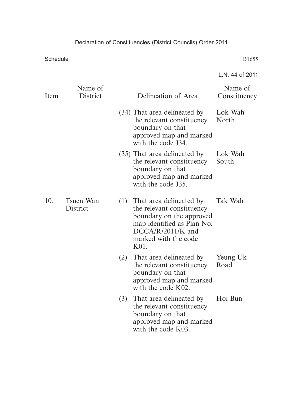|      |                              |     |                                                                                                                                                                           | L.N. 44 of 2011         |
|------|------------------------------|-----|---------------------------------------------------------------------------------------------------------------------------------------------------------------------------|-------------------------|
| Item | Name of<br>District          |     | Delineation of Area                                                                                                                                                       | Name of<br>Constituency |
|      |                              |     | (34) That area delineated by<br>the relevant constituency<br>boundary on that<br>approved map and marked<br>with the code J34.                                            | Lok Wah<br>North        |
|      |                              |     | (35) That area delineated by<br>the relevant constituency<br>boundary on that<br>approved map and marked<br>with the code J35.                                            | Lok Wah<br>South        |
| 10.  | Tsuen Wan<br><b>District</b> |     | (1) That area delineated by<br>the relevant constituency<br>boundary on the approved<br>map identified as Plan No.<br>$DCCA/R/2011/K$ and<br>marked with the code<br>K01. | Tak Wah                 |
|      |                              | (2) | That area delineated by<br>the relevant constituency<br>boundary on that<br>approved map and marked<br>with the code K02.                                                 | Yeung Uk<br>Road        |
|      |                              | (3) | That area delineated by<br>the relevant constituency<br>boundary on that<br>approved map and marked<br>with the code K03.                                                 | Hoi Bun                 |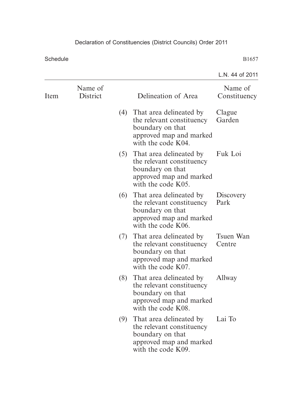|      |                     |     |                                                                                                                               | L.N. 44 of 2011         |
|------|---------------------|-----|-------------------------------------------------------------------------------------------------------------------------------|-------------------------|
| Item | Name of<br>District |     | Delineation of Area                                                                                                           | Name of<br>Constituency |
|      |                     |     | (4) That area delineated by<br>the relevant constituency<br>boundary on that<br>approved map and marked<br>with the code K04. | Clague<br>Garden        |
|      |                     |     | (5) That area delineated by<br>the relevant constituency<br>boundary on that<br>approved map and marked<br>with the code K05. | Fuk Loi                 |
|      |                     |     | (6) That area delineated by<br>the relevant constituency<br>boundary on that<br>approved map and marked<br>with the code K06. | Discovery<br>Park       |
|      |                     | (7) | That area delineated by<br>the relevant constituency<br>boundary on that<br>approved map and marked<br>with the code K07.     | Tsuen Wan<br>Centre     |
|      |                     | (8) | That area delineated by<br>the relevant constituency<br>boundary on that<br>approved map and marked<br>with the code K08.     | Allway                  |
|      |                     | (9) | That area delineated by<br>the relevant constituency<br>boundary on that<br>approved map and marked<br>with the code K09.     | Lai To                  |
|      |                     |     |                                                                                                                               |                         |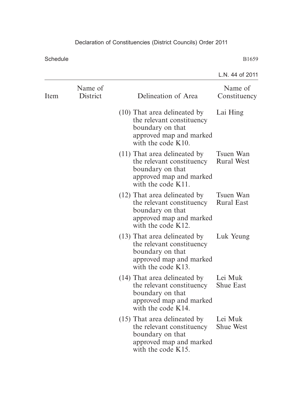|                     |                                                                                                                                     | L.N. 44 of 2011                |
|---------------------|-------------------------------------------------------------------------------------------------------------------------------------|--------------------------------|
| Name of<br>District | Delineation of Area                                                                                                                 | Name of<br>Constituency        |
|                     | $(10)$ That area delineated by<br>the relevant constituency<br>boundary on that<br>approved map and marked<br>with the code $K10$ . | Lai Hing                       |
|                     | $(11)$ That area delineated by<br>the relevant constituency<br>boundary on that<br>approved map and marked<br>with the code K11.    | Tsuen Wan<br><b>Rural West</b> |
|                     | (12) That area delineated by<br>the relevant constituency<br>boundary on that<br>approved map and marked<br>with the code $K12$ .   | Tsuen Wan<br><b>Rural East</b> |
|                     | (13) That area delineated by<br>the relevant constituency<br>boundary on that<br>approved map and marked<br>with the code $K13$ .   | Luk Yeung                      |
|                     | (14) That area delineated by<br>the relevant constituency<br>boundary on that<br>approved map and marked<br>with the code K14.      | Lei Muk<br><b>Shue East</b>    |
|                     | $(15)$ That area delineated by<br>the relevant constituency<br>boundary on that<br>approved map and marked<br>with the code K15.    | Lei Muk<br><b>Shue West</b>    |
|                     |                                                                                                                                     |                                |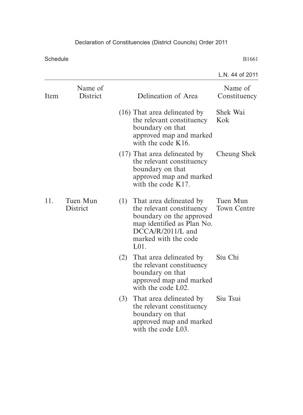|      |                      |     |                                                                                                                                                                              | L.N. 44 of 2011         |
|------|----------------------|-----|------------------------------------------------------------------------------------------------------------------------------------------------------------------------------|-------------------------|
| Item | Name of<br>District  |     | Delineation of Area                                                                                                                                                          | Name of<br>Constituency |
|      |                      |     | (16) That area delineated by<br>the relevant constituency<br>boundary on that<br>approved map and marked<br>with the code K16.                                               | Shek Wai<br>Kok         |
|      |                      |     | (17) That area delineated by<br>the relevant constituency<br>boundary on that<br>approved map and marked<br>with the code K17.                                               | Cheung Shek             |
| 11.  | Tuen Mun<br>District |     | (1) That area delineated by<br>the relevant constituency<br>boundary on the approved<br>map identified as Plan No.<br>$DCCA/R/2011/L$ and<br>marked with the code<br>$L01$ . | Tuen Mun<br>Town Centre |
|      |                      | (2) | That area delineated by<br>the relevant constituency<br>boundary on that<br>approved map and marked<br>with the code L02.                                                    | Siu Chi                 |
|      |                      | (3) | That area delineated by<br>the relevant constituency<br>boundary on that<br>approved map and marked<br>with the code L03.                                                    | Siu Tsui                |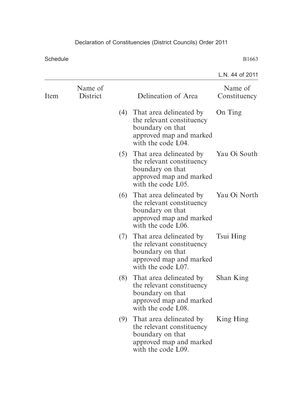|                     |     |                                                                                                                           | L.N. 44 of 2011                                                                                                                 |
|---------------------|-----|---------------------------------------------------------------------------------------------------------------------------|---------------------------------------------------------------------------------------------------------------------------------|
| Name of<br>District |     | Delineation of Area                                                                                                       | Name of<br>Constituency                                                                                                         |
|                     |     | the relevant constituency<br>boundary on that<br>approved map and marked<br>with the code L04.                            | On Ting                                                                                                                         |
|                     |     | the relevant constituency<br>boundary on that<br>approved map and marked<br>with the code L05.                            | Yau Oi South                                                                                                                    |
|                     |     | the relevant constituency<br>boundary on that<br>approved map and marked<br>with the code L06.                            | Yau Oi North                                                                                                                    |
|                     |     | That area delineated by<br>the relevant constituency<br>boundary on that<br>approved map and marked<br>with the code L07. | Tsui Hing                                                                                                                       |
|                     | (8) | That area delineated by<br>the relevant constituency<br>boundary on that<br>approved map and marked<br>with the code L08. | Shan King                                                                                                                       |
|                     |     | the relevant constituency<br>boundary on that<br>approved map and marked<br>with the code L09.                            | King Hing                                                                                                                       |
|                     |     |                                                                                                                           | (4) That area delineated by<br>(5) That area delineated by<br>(6) That area delineated by<br>(7)<br>(9) That area delineated by |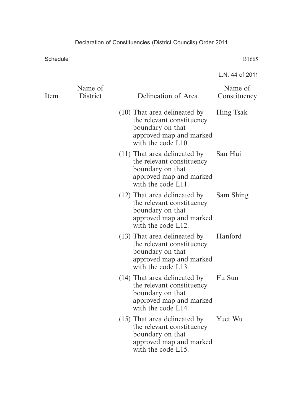|      |                     |                                                                                                                                  | L.N. 44 of 2011         |
|------|---------------------|----------------------------------------------------------------------------------------------------------------------------------|-------------------------|
| Item | Name of<br>District | Delineation of Area                                                                                                              | Name of<br>Constituency |
|      |                     | $(10)$ That area delineated by<br>the relevant constituency<br>boundary on that<br>approved map and marked<br>with the code L10. | <b>Hing Tsak</b>        |
|      |                     | $(11)$ That area delineated by<br>the relevant constituency<br>boundary on that<br>approved map and marked<br>with the code L11. | San Hui                 |
|      |                     | (12) That area delineated by<br>the relevant constituency<br>boundary on that<br>approved map and marked<br>with the code L12.   | Sam Shing               |
|      |                     | (13) That area delineated by<br>the relevant constituency<br>boundary on that<br>approved map and marked<br>with the code L13.   | Hanford                 |
|      |                     | (14) That area delineated by<br>the relevant constituency<br>boundary on that<br>approved map and marked<br>with the code L14.   | Fu Sun                  |
|      |                     | $(15)$ That area delineated by<br>the relevant constituency<br>boundary on that<br>approved map and marked<br>with the code L15. | Yuet Wu                 |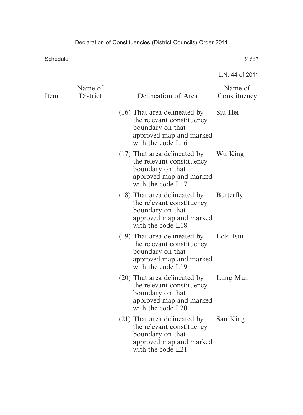|      |                     |                                                                                                                                  | L.N. 44 of 2011         |
|------|---------------------|----------------------------------------------------------------------------------------------------------------------------------|-------------------------|
| Item | Name of<br>District | Delineation of Area                                                                                                              | Name of<br>Constituency |
|      |                     | $(16)$ That area delineated by<br>the relevant constituency<br>boundary on that<br>approved map and marked<br>with the code L16. | Siu Hei                 |
|      |                     | $(17)$ That area delineated by<br>the relevant constituency<br>boundary on that<br>approved map and marked<br>with the code L17. | Wu King                 |
|      |                     | (18) That area delineated by<br>the relevant constituency<br>boundary on that<br>approved map and marked<br>with the code L18.   | <b>Butterfly</b>        |
|      |                     | (19) That area delineated by<br>the relevant constituency<br>boundary on that<br>approved map and marked<br>with the code L19.   | Lok Tsui                |
|      |                     | (20) That area delineated by<br>the relevant constituency<br>boundary on that<br>approved map and marked<br>with the code L20.   | Lung Mun                |
|      |                     | (21) That area delineated by<br>the relevant constituency<br>boundary on that<br>approved map and marked<br>with the code L21.   | San King                |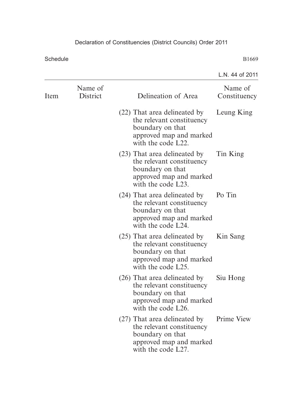|      |                     |                                                                                                                                  | L.N. 44 of 2011         |
|------|---------------------|----------------------------------------------------------------------------------------------------------------------------------|-------------------------|
| Item | Name of<br>District | Delineation of Area                                                                                                              | Name of<br>Constituency |
|      |                     | (22) That area delineated by<br>the relevant constituency<br>boundary on that<br>approved map and marked<br>with the code L22.   | Leung King              |
|      |                     | (23) That area delineated by<br>the relevant constituency<br>boundary on that<br>approved map and marked<br>with the code L23.   | Tin King                |
|      |                     | (24) That area delineated by<br>the relevant constituency<br>boundary on that<br>approved map and marked<br>with the code L24.   | Po Tin                  |
|      |                     | (25) That area delineated by<br>the relevant constituency<br>boundary on that<br>approved map and marked<br>with the code L25.   | Kin Sang                |
|      |                     | $(26)$ That area delineated by<br>the relevant constituency<br>boundary on that<br>approved map and marked<br>with the code L26. | Siu Hong                |
|      |                     | (27) That area delineated by<br>the relevant constituency<br>boundary on that<br>approved map and marked<br>with the code L27.   | Prime View              |
|      |                     |                                                                                                                                  |                         |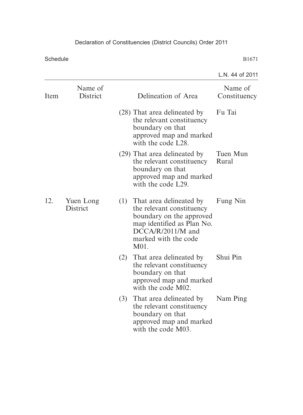|      |                       |     |                                                                                                                                                                           | L.N. 44 of 2011         |
|------|-----------------------|-----|---------------------------------------------------------------------------------------------------------------------------------------------------------------------------|-------------------------|
| Item | Name of<br>District   |     | Delineation of Area                                                                                                                                                       | Name of<br>Constituency |
|      |                       |     | (28) That area delineated by<br>the relevant constituency<br>boundary on that<br>approved map and marked<br>with the code L28.                                            | Fu Tai                  |
|      |                       |     | (29) That area delineated by<br>the relevant constituency<br>boundary on that<br>approved map and marked<br>with the code L29.                                            | Tuen Mun<br>Rural       |
| 12.  | Yuen Long<br>District |     | (1) That area delineated by<br>the relevant constituency<br>boundary on the approved<br>map identified as Plan No.<br>$DCCA/R/2011/M$ and<br>marked with the code<br>M01. | Fung Nin                |
|      |                       | (2) | That area delineated by<br>the relevant constituency<br>boundary on that<br>approved map and marked<br>with the code M02.                                                 | Shui Pin                |
|      |                       | (3) | That area delineated by<br>the relevant constituency<br>boundary on that<br>approved map and marked<br>with the code M03.                                                 | Nam Ping                |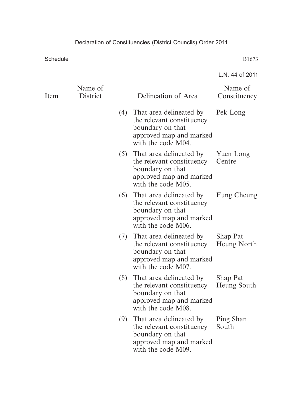|      |                            |     |                                                                                                                               | L.N. 44 of 2011                |
|------|----------------------------|-----|-------------------------------------------------------------------------------------------------------------------------------|--------------------------------|
| Item | Name of<br><b>District</b> |     | Delineation of Area                                                                                                           | Name of<br>Constituency        |
|      |                            |     | (4) That area delineated by<br>the relevant constituency<br>boundary on that<br>approved map and marked<br>with the code M04. | Pek Long                       |
|      |                            |     | (5) That area delineated by<br>the relevant constituency<br>boundary on that<br>approved map and marked<br>with the code M05. | Yuen Long<br>Centre            |
|      |                            |     | (6) That area delineated by<br>the relevant constituency<br>boundary on that<br>approved map and marked<br>with the code M06. | Fung Cheung                    |
|      |                            |     | (7) That area delineated by<br>the relevant constituency<br>boundary on that<br>approved map and marked<br>with the code M07. | <b>Shap Pat</b><br>Heung North |
|      |                            | (8) | That area delineated by<br>the relevant constituency<br>boundary on that<br>approved map and marked<br>with the code M08.     | <b>Shap Pat</b><br>Heung South |
|      |                            | (9) | That area delineated by<br>the relevant constituency<br>boundary on that<br>approved map and marked<br>with the code M09.     | Ping Shan<br>South             |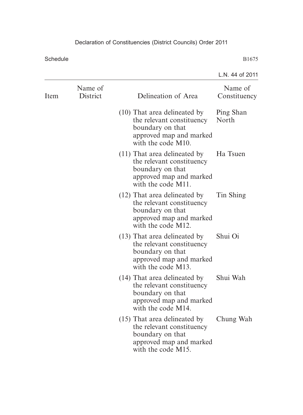|      |                     |                                                                                                                                  | L.N. 44 of 2011         |
|------|---------------------|----------------------------------------------------------------------------------------------------------------------------------|-------------------------|
| Item | Name of<br>District | Delineation of Area                                                                                                              | Name of<br>Constituency |
|      |                     | $(10)$ That area delineated by<br>the relevant constituency<br>boundary on that<br>approved map and marked<br>with the code M10. | Ping Shan<br>North      |
|      |                     | $(11)$ That area delineated by<br>the relevant constituency<br>boundary on that<br>approved map and marked<br>with the code M11. | Ha Tsuen                |
|      |                     | (12) That area delineated by<br>the relevant constituency<br>boundary on that<br>approved map and marked<br>with the code M12.   | Tin Shing               |
|      |                     | $(13)$ That area delineated by<br>the relevant constituency<br>boundary on that<br>approved map and marked<br>with the code M13. | Shui Oi                 |
|      |                     | (14) That area delineated by<br>the relevant constituency<br>boundary on that<br>approved map and marked<br>with the code M14.   | Shui Wah                |
|      |                     | $(15)$ That area delineated by<br>the relevant constituency<br>boundary on that<br>approved map and marked<br>with the code M15. | Chung Wah               |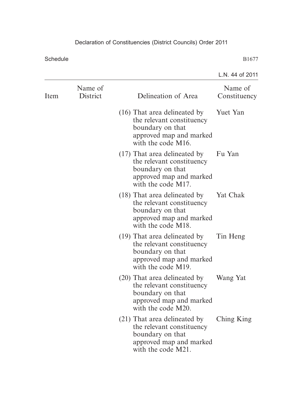|      |                     |                                                                                                                                  | L.N. 44 of 2011         |
|------|---------------------|----------------------------------------------------------------------------------------------------------------------------------|-------------------------|
| Item | Name of<br>District | Delineation of Area                                                                                                              | Name of<br>Constituency |
|      |                     | (16) That area delineated by<br>the relevant constituency<br>boundary on that<br>approved map and marked<br>with the code M16.   | Yuet Yan                |
|      |                     | $(17)$ That area delineated by<br>the relevant constituency<br>boundary on that<br>approved map and marked<br>with the code M17. | Fu Yan                  |
|      |                     | (18) That area delineated by<br>the relevant constituency<br>boundary on that<br>approved map and marked<br>with the code M18.   | Yat Chak                |
|      |                     | (19) That area delineated by<br>the relevant constituency<br>boundary on that<br>approved map and marked<br>with the code M19.   | Tin Heng                |
|      |                     | (20) That area delineated by<br>the relevant constituency<br>boundary on that<br>approved map and marked<br>with the code M20.   | Wang Yat                |
|      |                     | (21) That area delineated by<br>the relevant constituency<br>boundary on that<br>approved map and marked<br>with the code M21.   | Ching King              |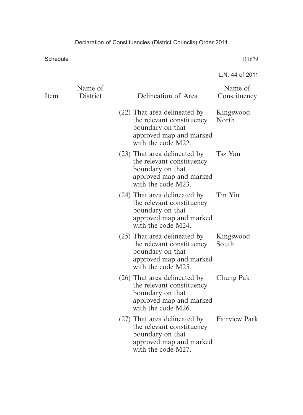|      |                     |                                                                                                                                | L.N. 44 of 2011         |
|------|---------------------|--------------------------------------------------------------------------------------------------------------------------------|-------------------------|
| Item | Name of<br>District | Delineation of Area                                                                                                            | Name of<br>Constituency |
|      |                     | (22) That area delineated by<br>the relevant constituency<br>boundary on that<br>approved map and marked<br>with the code M22. | Kingswood<br>North      |
|      |                     | (23) That area delineated by<br>the relevant constituency<br>boundary on that<br>approved map and marked<br>with the code M23. | Tsz Yau                 |
|      |                     | (24) That area delineated by<br>the relevant constituency<br>boundary on that<br>approved map and marked<br>with the code M24. | Tin Yiu                 |
|      |                     | (25) That area delineated by<br>the relevant constituency<br>boundary on that<br>approved map and marked<br>with the code M25. | Kingswood<br>South      |
|      |                     | (26) That area delineated by<br>the relevant constituency<br>boundary on that<br>approved map and marked<br>with the code M26. | Chung Pak               |
|      |                     | (27) That area delineated by<br>the relevant constituency<br>boundary on that<br>approved map and marked<br>with the code M27. | <b>Fairview Park</b>    |
|      |                     |                                                                                                                                |                         |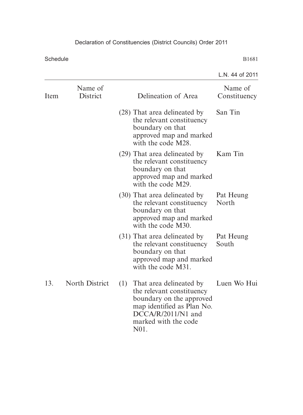|      |                       |                                                                                                                                                                            | L.N. 44 of 2011         |
|------|-----------------------|----------------------------------------------------------------------------------------------------------------------------------------------------------------------------|-------------------------|
| Item | Name of<br>District   | Delineation of Area                                                                                                                                                        | Name of<br>Constituency |
|      |                       | (28) That area delineated by<br>the relevant constituency<br>boundary on that<br>approved map and marked<br>with the code M28.                                             | San Tin                 |
|      |                       | (29) That area delineated by<br>the relevant constituency<br>boundary on that<br>approved map and marked<br>with the code M29.                                             | Kam Tin                 |
|      |                       | (30) That area delineated by<br>the relevant constituency<br>boundary on that<br>approved map and marked<br>with the code M30.                                             | Pat Heung<br>North      |
|      |                       | (31) That area delineated by<br>the relevant constituency<br>boundary on that<br>approved map and marked<br>with the code M31.                                             | Pat Heung<br>South      |
| 13.  | <b>North District</b> | (1) That area delineated by<br>the relevant constituency<br>boundary on the approved<br>map identified as Plan No.<br>$DCCA/R/2011/N1$ and<br>marked with the code<br>N01. | Luen Wo Hui             |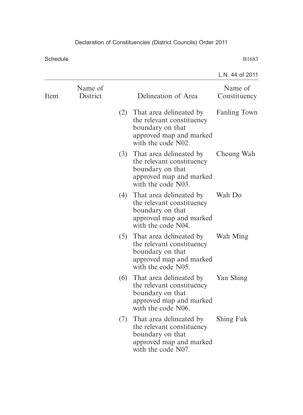|      |                     |     |                                                                                                                               | L.N. 44 of 2011         |
|------|---------------------|-----|-------------------------------------------------------------------------------------------------------------------------------|-------------------------|
| Item | Name of<br>District |     | Delineation of Area                                                                                                           | Name of<br>Constituency |
|      |                     |     | (2) That area delineated by<br>the relevant constituency<br>boundary on that<br>approved map and marked<br>with the code N02. | <b>Fanling Town</b>     |
|      |                     |     | (3) That area delineated by<br>the relevant constituency<br>boundary on that<br>approved map and marked<br>with the code N03. | Cheung Wah              |
|      |                     |     | (4) That area delineated by<br>the relevant constituency<br>boundary on that<br>approved map and marked<br>with the code N04. | Wah Do                  |
|      |                     | (5) | That area delineated by<br>the relevant constituency<br>boundary on that<br>approved map and marked<br>with the code N05.     | Wah Ming                |
|      |                     | (6) | That area delineated by<br>the relevant constituency<br>boundary on that<br>approved map and marked<br>with the code N06.     | Yan Shing               |
|      |                     |     | (7) That area delineated by<br>the relevant constituency<br>boundary on that<br>approved map and marked<br>with the code N07. | Shing Fuk               |
|      |                     |     |                                                                                                                               |                         |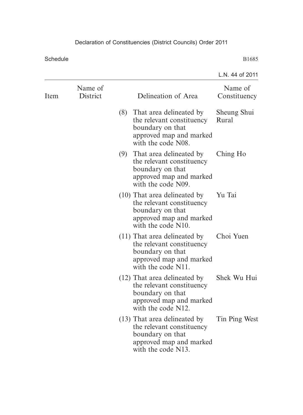|      |                     |                                                                                                                                  | L.N. 44 of 2011         |
|------|---------------------|----------------------------------------------------------------------------------------------------------------------------------|-------------------------|
| Item | Name of<br>District | Delineation of Area                                                                                                              | Name of<br>Constituency |
|      |                     | (8) That area delineated by<br>the relevant constituency<br>boundary on that<br>approved map and marked<br>with the code N08.    | Sheung Shui<br>Rural    |
|      |                     | (9) That area delineated by<br>the relevant constituency<br>boundary on that<br>approved map and marked<br>with the code N09.    | Ching Ho                |
|      |                     | (10) That area delineated by<br>the relevant constituency<br>boundary on that<br>approved map and marked<br>with the code N10.   | Yu Tai                  |
|      |                     | $(11)$ That area delineated by<br>the relevant constituency<br>boundary on that<br>approved map and marked<br>with the code N11. | Choi Yuen               |
|      |                     | (12) That area delineated by<br>the relevant constituency<br>boundary on that<br>approved map and marked<br>with the code N12.   | Shek Wu Hui             |
|      |                     | (13) That area delineated by<br>the relevant constituency<br>boundary on that<br>approved map and marked<br>with the code N13.   | Tin Ping West           |
|      |                     |                                                                                                                                  |                         |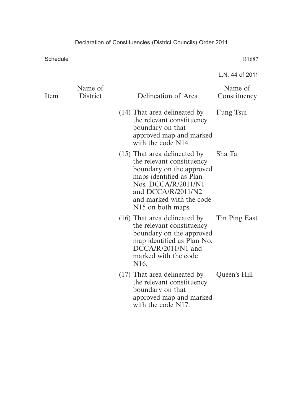|      |                     |                                                                                                                                                                                                                              | L.N. 44 of 2011         |
|------|---------------------|------------------------------------------------------------------------------------------------------------------------------------------------------------------------------------------------------------------------------|-------------------------|
| Item | Name of<br>District | Delineation of Area                                                                                                                                                                                                          | Name of<br>Constituency |
|      |                     | (14) That area delineated by<br>the relevant constituency<br>boundary on that<br>approved map and marked<br>with the code N14.                                                                                               | Fung Tsui               |
|      |                     | $(15)$ That area delineated by<br>the relevant constituency<br>boundary on the approved<br>maps identified as Plan<br>Nos. DCCA/R/2011/N1<br>and DCCA/R/2011/N2<br>and marked with the code<br>N <sub>15</sub> on both maps. | Sha Ta                  |
|      |                     | (16) That area delineated by<br>the relevant constituency<br>boundary on the approved<br>map identified as Plan No.<br>$DCCA/R/2011/N1$ and<br>marked with the code<br>N <sub>16</sub> .                                     | Tin Ping East           |
|      |                     | (17) That area delineated by Queen's Hill<br>the relevant constituency<br>boundary on that<br>approved map and marked<br>with the code N17.                                                                                  |                         |
|      |                     |                                                                                                                                                                                                                              |                         |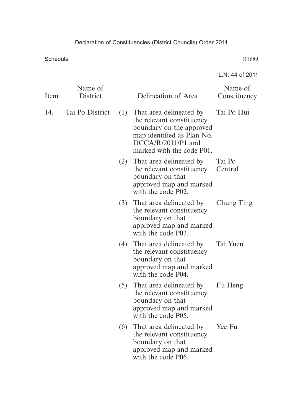|                     |     |                                                                                                                                          | L.N. 44 of 2011                                                                                                                 |
|---------------------|-----|------------------------------------------------------------------------------------------------------------------------------------------|---------------------------------------------------------------------------------------------------------------------------------|
| Name of<br>District |     | Delineation of Area                                                                                                                      | Name of<br>Constituency                                                                                                         |
| Tai Po District     |     | the relevant constituency<br>boundary on the approved<br>map identified as Plan No.<br>$DCCA/R/2011/P1$ and<br>marked with the code P01. | Tai Po Hui                                                                                                                      |
|                     |     | the relevant constituency<br>boundary on that<br>approved map and marked<br>with the code P02.                                           | Tai Po<br>Central                                                                                                               |
|                     |     | the relevant constituency<br>boundary on that<br>approved map and marked<br>with the code P03.                                           | Chung Ting                                                                                                                      |
|                     |     | the relevant constituency<br>boundary on that<br>approved map and marked<br>with the code P04.                                           | Tai Yuen                                                                                                                        |
|                     |     | That area delineated by<br>the relevant constituency<br>boundary on that<br>approved map and marked<br>with the code P05.                | Fu Heng                                                                                                                         |
|                     | (6) | That area delineated by<br>the relevant constituency<br>boundary on that<br>approved map and marked<br>with the code P06.                | Yee Fu                                                                                                                          |
|                     |     |                                                                                                                                          | (1) That area delineated by<br>(2) That area delineated by<br>(3) That area delineated by<br>(4) That area delineated by<br>(5) |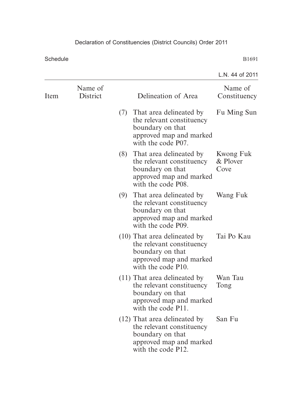|                     |     |                                                                                                                           | L.N. 44 of 2011                                                                                                                                              |
|---------------------|-----|---------------------------------------------------------------------------------------------------------------------------|--------------------------------------------------------------------------------------------------------------------------------------------------------------|
| Name of<br>District |     | Delineation of Area                                                                                                       | Name of<br>Constituency                                                                                                                                      |
|                     |     | the relevant constituency<br>boundary on that<br>approved map and marked<br>with the code P07.                            | Fu Ming Sun                                                                                                                                                  |
|                     | (8) | That area delineated by<br>the relevant constituency<br>boundary on that<br>approved map and marked<br>with the code P08. | Kwong Fuk<br>& Plover<br>Cove                                                                                                                                |
|                     |     | the relevant constituency<br>boundary on that<br>approved map and marked<br>with the code P09.                            | Wang Fuk                                                                                                                                                     |
|                     |     | the relevant constituency<br>boundary on that<br>approved map and marked<br>with the code P10.                            | Tai Po Kau                                                                                                                                                   |
|                     |     | the relevant constituency<br>boundary on that<br>approved map and marked<br>with the code P11.                            | Wan Tau<br>Tong                                                                                                                                              |
|                     |     | the relevant constituency<br>boundary on that<br>approved map and marked<br>with the code P12.                            | San Fu                                                                                                                                                       |
|                     |     |                                                                                                                           | (7) That area delineated by<br>(9) That area delineated by<br>(10) That area delineated by<br>$(11)$ That area delineated by<br>(12) That area delineated by |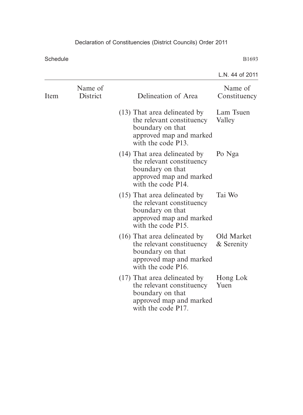|                     |                                                                                                                                  | L.N. 44 of 2011          |
|---------------------|----------------------------------------------------------------------------------------------------------------------------------|--------------------------|
| Name of<br>District | Delineation of Area                                                                                                              | Name of<br>Constituency  |
|                     | (13) That area delineated by<br>the relevant constituency<br>boundary on that<br>approved map and marked<br>with the code P13.   | Lam Tsuen<br>Valley      |
|                     | (14) That area delineated by<br>the relevant constituency<br>boundary on that<br>approved map and marked<br>with the code P14.   | Po Nga                   |
|                     | $(15)$ That area delineated by<br>the relevant constituency<br>boundary on that<br>approved map and marked<br>with the code P15. | Tai Wo                   |
|                     | (16) That area delineated by<br>the relevant constituency<br>boundary on that<br>approved map and marked<br>with the code P16.   | Old Market<br>& Serenity |
|                     | (17) That area delineated by<br>the relevant constituency<br>boundary on that<br>approved map and marked<br>with the code P17.   | Hong Lok<br>Yuen         |
|                     |                                                                                                                                  |                          |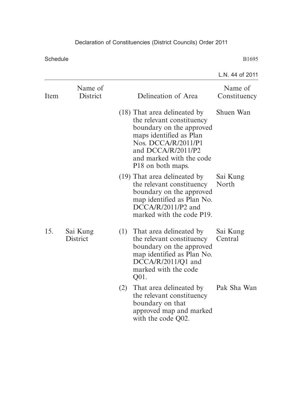|      |                      |     |                                                                                                                                                                                                                            | L.N. 44 of 2011         |
|------|----------------------|-----|----------------------------------------------------------------------------------------------------------------------------------------------------------------------------------------------------------------------------|-------------------------|
| Item | Name of<br>District  |     | Delineation of Area                                                                                                                                                                                                        | Name of<br>Constituency |
|      |                      |     | (18) That area delineated by<br>the relevant constituency<br>boundary on the approved<br>maps identified as Plan<br>Nos. DCCA/R/2011/P1<br>and DCCA/R/2011/P2<br>and marked with the code<br>P <sub>18</sub> on both maps. | Shuen Wan               |
|      |                      |     | (19) That area delineated by<br>the relevant constituency<br>boundary on the approved<br>map identified as Plan No.<br>$DCCA/R/2011/P2$ and<br>marked with the code P19.                                                   | Sai Kung<br>North       |
| 15.  | Sai Kung<br>District | (1) | That area delineated by<br>the relevant constituency<br>boundary on the approved<br>map identified as Plan No.<br>DCCA/R/2011/Q1 and<br>marked with the code<br>Q01.                                                       | Sai Kung<br>Central     |
|      |                      | (2) | That area delineated by<br>the relevant constituency<br>boundary on that<br>approved map and marked<br>with the code Q02.                                                                                                  | Pak Sha Wan             |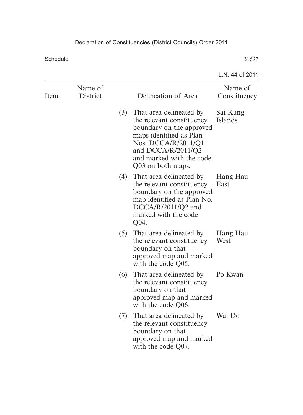|      |                     |     |                                                                                                                                                                                                           | L.N. 44 of 2011         |
|------|---------------------|-----|-----------------------------------------------------------------------------------------------------------------------------------------------------------------------------------------------------------|-------------------------|
| Item | Name of<br>District |     | Delineation of Area                                                                                                                                                                                       | Name of<br>Constituency |
|      |                     | (3) | That area delineated by<br>the relevant constituency<br>boundary on the approved<br>maps identified as Plan<br>Nos. DCCA/R/2011/Q1<br>and DCCA/R/2011/Q2<br>and marked with the code<br>Q03 on both maps. | Sai Kung<br>Islands     |
|      |                     | (4) | That area delineated by<br>the relevant constituency<br>boundary on the approved<br>map identified as Plan No.<br>$DCCA/R/2011/Q2$ and<br>marked with the code<br>Q04.                                    | Hang Hau<br>East        |
|      |                     | (5) | That area delineated by<br>the relevant constituency<br>boundary on that<br>approved map and marked<br>with the code Q05.                                                                                 | Hang Hau<br>West        |
|      |                     | (6) | That area delineated by Po Kwan<br>the relevant constituency<br>boundary on that<br>approved map and marked<br>with the code Q06.                                                                         |                         |
|      |                     | (7) | That area delineated by<br>the relevant constituency<br>boundary on that<br>approved map and marked<br>with the code Q07.                                                                                 | Wai Do                  |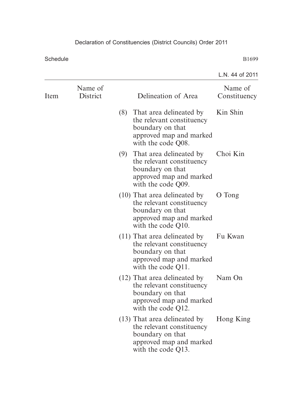|      |                     |                                                                                                                                  | L.N. 44 of 2011         |
|------|---------------------|----------------------------------------------------------------------------------------------------------------------------------|-------------------------|
| Item | Name of<br>District | Delineation of Area                                                                                                              | Name of<br>Constituency |
|      |                     | (8)<br>That area delineated by<br>the relevant constituency<br>boundary on that<br>approved map and marked<br>with the code Q08. | Kin Shin                |
|      |                     | That area delineated by<br>(9)<br>the relevant constituency<br>boundary on that<br>approved map and marked<br>with the code Q09. | Choi Kin                |
|      |                     | $(10)$ That area delineated by<br>the relevant constituency<br>boundary on that<br>approved map and marked<br>with the code Q10. | O Tong                  |
|      |                     | $(11)$ That area delineated by<br>the relevant constituency<br>boundary on that<br>approved map and marked<br>with the code Q11. | Fu Kwan                 |
|      |                     | (12) That area delineated by<br>the relevant constituency<br>boundary on that<br>approved map and marked<br>with the code Q12.   | Nam On                  |
|      |                     | $(13)$ That area delineated by<br>the relevant constituency<br>boundary on that<br>approved map and marked<br>with the code Q13. | Hong King               |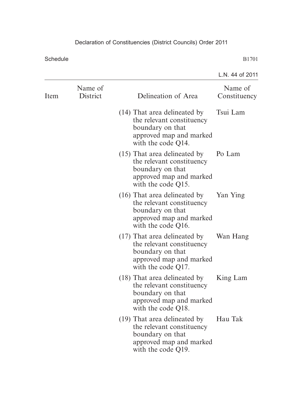|      |                     |                                                                                                                                  | L.N. 44 of 2011         |
|------|---------------------|----------------------------------------------------------------------------------------------------------------------------------|-------------------------|
| Item | Name of<br>District | Delineation of Area                                                                                                              | Name of<br>Constituency |
|      |                     | (14) That area delineated by<br>the relevant constituency<br>boundary on that<br>approved map and marked<br>with the code Q14.   | Tsui Lam                |
|      |                     | (15) That area delineated by<br>the relevant constituency<br>boundary on that<br>approved map and marked<br>with the code Q15.   | Po Lam                  |
|      |                     | $(16)$ That area delineated by<br>the relevant constituency<br>boundary on that<br>approved map and marked<br>with the code Q16. | Yan Ying                |
|      |                     | (17) That area delineated by<br>the relevant constituency<br>boundary on that<br>approved map and marked<br>with the code Q17.   | Wan Hang                |
|      |                     | (18) That area delineated by<br>the relevant constituency<br>boundary on that<br>approved map and marked<br>with the code Q18.   | King Lam                |
|      |                     | (19) That area delineated by<br>the relevant constituency<br>boundary on that<br>approved map and marked<br>with the code Q19.   | Hau Tak                 |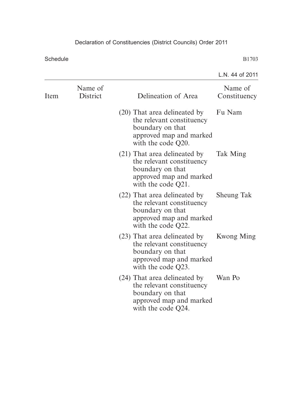| Name of           |
|-------------------|
| Constituency      |
| Fu Nam            |
| Tak Ming          |
| <b>Sheung Tak</b> |
| Kwong Ming        |
| Wan Po            |
|                   |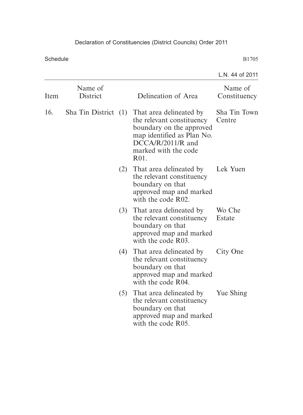|      |                     |     |                                                                                                                                                                                                         | L.N. 44 of 2011         |
|------|---------------------|-----|---------------------------------------------------------------------------------------------------------------------------------------------------------------------------------------------------------|-------------------------|
| Item | Name of<br>District |     | Delineation of Area                                                                                                                                                                                     | Name of<br>Constituency |
| 16.  |                     |     | Sha Tin District (1) That area delineated by<br>the relevant constituency<br>boundary on the approved<br>map identified as Plan No.<br>$DCCA/R/2011/R$ and<br>marked with the code<br>R <sub>0</sub> 1. | Sha Tin Town<br>Centre  |
|      |                     |     | (2) That area delineated by<br>the relevant constituency<br>boundary on that<br>approved map and marked<br>with the code R02.                                                                           | Lek Yuen                |
|      |                     |     | (3) That area delineated by<br>the relevant constituency<br>boundary on that<br>approved map and marked<br>with the code R03.                                                                           | Wo Che<br>Estate        |
|      |                     | (4) | That area delineated by<br>the relevant constituency<br>boundary on that<br>approved map and marked<br>with the code R04.                                                                               | City One                |
|      |                     |     | (5) That area delineated by<br>the relevant constituency<br>boundary on that<br>approved map and marked<br>with the code R05.                                                                           | Yue Shing               |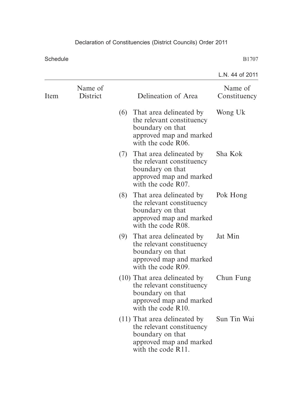|      |                     |     |                                                                                                                                  | L.N. 44 of 2011         |
|------|---------------------|-----|----------------------------------------------------------------------------------------------------------------------------------|-------------------------|
| Item | Name of<br>District |     | Delineation of Area                                                                                                              | Name of<br>Constituency |
|      |                     | (6) | That area delineated by<br>the relevant constituency<br>boundary on that<br>approved map and marked<br>with the code R06.        | Wong Uk                 |
|      |                     | (7) | That area delineated by<br>the relevant constituency<br>boundary on that<br>approved map and marked<br>with the code R07.        | Sha Kok                 |
|      |                     | (8) | That area delineated by<br>the relevant constituency<br>boundary on that<br>approved map and marked<br>with the code R08.        | Pok Hong                |
|      |                     |     | (9) That area delineated by<br>the relevant constituency<br>boundary on that<br>approved map and marked<br>with the code R09.    | Jat Min                 |
|      |                     |     | $(10)$ That area delineated by<br>the relevant constituency<br>boundary on that<br>approved map and marked<br>with the code R10. | Chun Fung               |
|      |                     |     | $(11)$ That area delineated by<br>the relevant constituency<br>boundary on that<br>approved map and marked<br>with the code R11. | Sun Tin Wai             |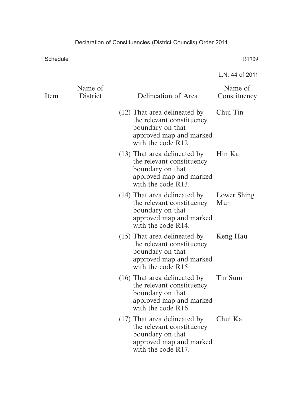|      |                     |                                                                                                                                  | L.N. 44 of 2011         |
|------|---------------------|----------------------------------------------------------------------------------------------------------------------------------|-------------------------|
| Item | Name of<br>District | Delineation of Area                                                                                                              | Name of<br>Constituency |
|      |                     | (12) That area delineated by<br>the relevant constituency<br>boundary on that<br>approved map and marked<br>with the code R12.   | Chui Tin                |
|      |                     | (13) That area delineated by<br>the relevant constituency<br>boundary on that<br>approved map and marked<br>with the code R13.   | Hin Ka                  |
|      |                     | (14) That area delineated by<br>the relevant constituency<br>boundary on that<br>approved map and marked<br>with the code R14.   | Lower Shing<br>Mun      |
|      |                     | (15) That area delineated by<br>the relevant constituency<br>boundary on that<br>approved map and marked<br>with the code R15.   | Keng Hau                |
|      |                     | (16) That area delineated by<br>the relevant constituency<br>boundary on that<br>approved map and marked<br>with the code R16.   | Tin Sum                 |
|      |                     | $(17)$ That area delineated by<br>the relevant constituency<br>boundary on that<br>approved map and marked<br>with the code R17. | Chui Ka                 |
|      |                     |                                                                                                                                  |                         |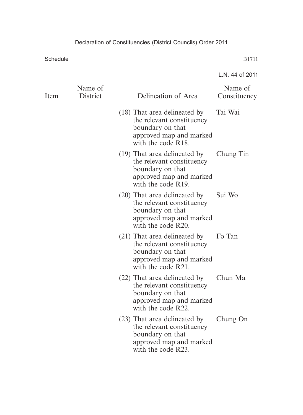|                                                                                                                                | L.N. 44 of 2011         |
|--------------------------------------------------------------------------------------------------------------------------------|-------------------------|
| Name of<br>Item<br>District<br>Delineation of Area                                                                             | Name of<br>Constituency |
| (18) That area delineated by<br>the relevant constituency<br>boundary on that<br>approved map and marked<br>with the code R18. | Tai Wai                 |
| (19) That area delineated by<br>the relevant constituency<br>boundary on that<br>approved map and marked<br>with the code R19. | Chung Tin               |
| (20) That area delineated by<br>the relevant constituency<br>boundary on that<br>approved map and marked<br>with the code R20. | Sui Wo                  |
| (21) That area delineated by<br>the relevant constituency<br>boundary on that<br>approved map and marked<br>with the code R21. | Fo Tan                  |
| (22) That area delineated by<br>the relevant constituency<br>boundary on that<br>approved map and marked<br>with the code R22. | Chun Ma                 |
| (23) That area delineated by<br>the relevant constituency<br>boundary on that<br>approved map and marked<br>with the code R23. | Chung On                |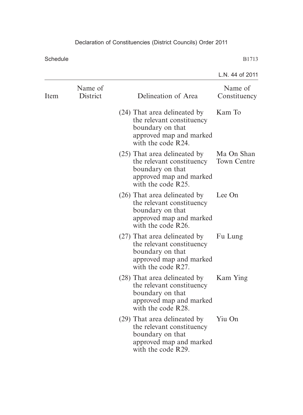|      |                     |                                                                                                                                | L.N. 44 of 2011           |
|------|---------------------|--------------------------------------------------------------------------------------------------------------------------------|---------------------------|
| Item | Name of<br>District | Delineation of Area                                                                                                            | Name of<br>Constituency   |
|      |                     | (24) That area delineated by<br>the relevant constituency<br>boundary on that<br>approved map and marked<br>with the code R24. | Kam To                    |
|      |                     | (25) That area delineated by<br>the relevant constituency<br>boundary on that<br>approved map and marked<br>with the code R25. | Ma On Shan<br>Town Centre |
|      |                     | (26) That area delineated by<br>the relevant constituency<br>boundary on that<br>approved map and marked<br>with the code R26. | Lee On                    |
|      |                     | (27) That area delineated by<br>the relevant constituency<br>boundary on that<br>approved map and marked<br>with the code R27. | Fu Lung                   |
|      |                     | (28) That area delineated by<br>the relevant constituency<br>boundary on that<br>approved map and marked<br>with the code R28. | Kam Ying                  |
|      |                     | (29) That area delineated by<br>the relevant constituency<br>boundary on that<br>approved map and marked<br>with the code R29. | Yiu On                    |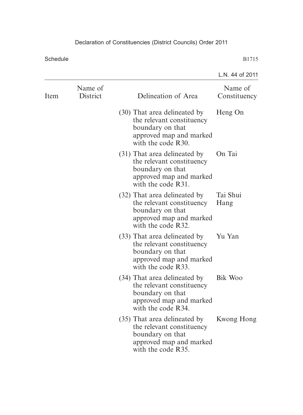|      |                     |                                                                                                                                | L.N. 44 of 2011         |
|------|---------------------|--------------------------------------------------------------------------------------------------------------------------------|-------------------------|
| Item | Name of<br>District | Delineation of Area                                                                                                            | Name of<br>Constituency |
|      |                     | (30) That area delineated by<br>the relevant constituency<br>boundary on that<br>approved map and marked<br>with the code R30. | Heng On                 |
|      |                     | (31) That area delineated by<br>the relevant constituency<br>boundary on that<br>approved map and marked<br>with the code R31. | On Tai                  |
|      |                     | (32) That area delineated by<br>the relevant constituency<br>boundary on that<br>approved map and marked<br>with the code R32. | Tai Shui<br>Hang        |
|      |                     | (33) That area delineated by<br>the relevant constituency<br>boundary on that<br>approved map and marked<br>with the code R33. | Yu Yan                  |
|      |                     | (34) That area delineated by<br>the relevant constituency<br>boundary on that<br>approved map and marked<br>with the code R34. | Bik Woo                 |
|      |                     | (35) That area delineated by<br>the relevant constituency<br>boundary on that<br>approved map and marked<br>with the code R35. | Kwong Hong              |
|      |                     |                                                                                                                                |                         |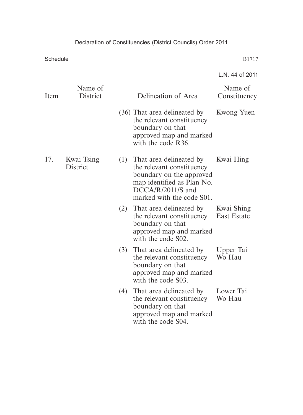## Declaration of Constituencies (District Councils) Order 2011

Schedule

|      |                            |     |                                                                                                                                                                  | L.N. 44 of 2011           |
|------|----------------------------|-----|------------------------------------------------------------------------------------------------------------------------------------------------------------------|---------------------------|
| Item | Name of<br><b>District</b> |     | Delineation of Area                                                                                                                                              | Name of<br>Constituency   |
|      |                            |     | (36) That area delineated by<br>the relevant constituency<br>boundary on that<br>approved map and marked<br>with the code R36.                                   | Kwong Yuen                |
| 17.  | Kwai Tsing<br>District     | (1) | That area delineated by<br>the relevant constituency<br>boundary on the approved<br>map identified as Plan No.<br>DCCA/R/2011/S and<br>marked with the code S01. | Kwai Hing                 |
|      |                            | (2) | That area delineated by<br>the relevant constituency<br>boundary on that<br>approved map and marked<br>with the code S02.                                        | Kwai Shing<br>East Estate |
|      |                            | (3) | That area delineated by<br>the relevant constituency<br>boundary on that<br>approved map and marked<br>with the code S03.                                        | Upper Tai<br>Wo Hau       |
|      |                            | (4) | That area delineated by<br>the relevant constituency<br>boundary on that<br>approved map and marked<br>with the code S04.                                        | Lower Tai<br>Wo Hau       |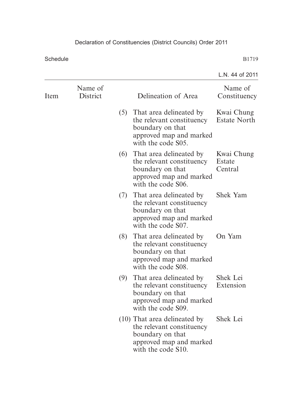|      |                     |     |                                                                                                                                | L.N. 44 of 2011                   |
|------|---------------------|-----|--------------------------------------------------------------------------------------------------------------------------------|-----------------------------------|
| Item | Name of<br>District |     | Delineation of Area                                                                                                            | Name of<br>Constituency           |
|      |                     |     | (5) That area delineated by<br>the relevant constituency<br>boundary on that<br>approved map and marked<br>with the code S05.  | Kwai Chung<br><b>Estate North</b> |
|      |                     |     | (6) That area delineated by<br>the relevant constituency<br>boundary on that<br>approved map and marked<br>with the code S06.  | Kwai Chung<br>Estate<br>Central   |
|      |                     |     | (7) That area delineated by<br>the relevant constituency<br>boundary on that<br>approved map and marked<br>with the code S07.  | <b>Shek Yam</b>                   |
|      |                     | (8) | That area delineated by<br>the relevant constituency<br>boundary on that<br>approved map and marked<br>with the code S08.      | On Yam                            |
|      |                     | (9) | That area delineated by<br>the relevant constituency<br>boundary on that<br>approved map and marked<br>with the code S09.      | Shek Lei<br>Extension             |
|      |                     |     | (10) That area delineated by<br>the relevant constituency<br>boundary on that<br>approved map and marked<br>with the code S10. | Shek Lei                          |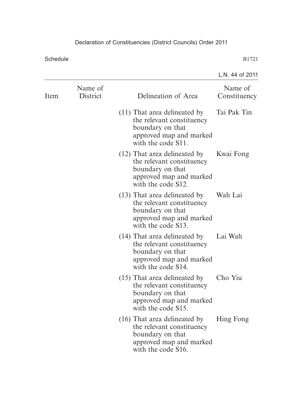|      |                     |                                                                                                                                  | L.N. 44 of 2011         |
|------|---------------------|----------------------------------------------------------------------------------------------------------------------------------|-------------------------|
| Item | Name of<br>District | Delineation of Area                                                                                                              | Name of<br>Constituency |
|      |                     | $(11)$ That area delineated by<br>the relevant constituency<br>boundary on that<br>approved map and marked<br>with the code S11. | Tai Pak Tin             |
|      |                     | (12) That area delineated by<br>the relevant constituency<br>boundary on that<br>approved map and marked<br>with the code S12.   | Kwai Fong               |
|      |                     | (13) That area delineated by<br>the relevant constituency<br>boundary on that<br>approved map and marked<br>with the code S13.   | Wah Lai                 |
|      |                     | (14) That area delineated by<br>the relevant constituency<br>boundary on that<br>approved map and marked<br>with the code S14.   | Lai Wah                 |
|      |                     | $(15)$ That area delineated by<br>the relevant constituency<br>boundary on that<br>approved map and marked<br>with the code S15. | Cho Yiu                 |
|      |                     | $(16)$ That area delineated by<br>the relevant constituency<br>boundary on that<br>approved map and marked<br>with the code S16. | Hing Fong               |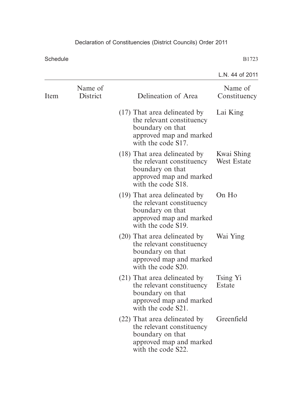|      |                     |                                                                                                                                  | L.N. 44 of 2011           |
|------|---------------------|----------------------------------------------------------------------------------------------------------------------------------|---------------------------|
| Item | Name of<br>District | Delineation of Area                                                                                                              | Name of<br>Constituency   |
|      |                     | $(17)$ That area delineated by<br>the relevant constituency<br>boundary on that<br>approved map and marked<br>with the code S17. | Lai King                  |
|      |                     | (18) That area delineated by<br>the relevant constituency<br>boundary on that<br>approved map and marked<br>with the code S18.   | Kwai Shing<br>West Estate |
|      |                     | (19) That area delineated by<br>the relevant constituency<br>boundary on that<br>approved map and marked<br>with the code S19.   | On Ho                     |
|      |                     | (20) That area delineated by<br>the relevant constituency<br>boundary on that<br>approved map and marked<br>with the code S20.   | Wai Ying                  |
|      |                     | (21) That area delineated by<br>the relevant constituency<br>boundary on that<br>approved map and marked<br>with the code S21.   | Tsing Yi<br>Estate        |
|      |                     | (22) That area delineated by<br>the relevant constituency<br>boundary on that<br>approved map and marked<br>with the code S22.   | Greenfield                |
|      |                     |                                                                                                                                  |                           |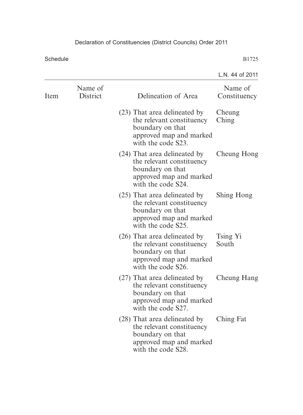Schedule

|                     |                                                                                                                                | L.N. 44 of 2011         |
|---------------------|--------------------------------------------------------------------------------------------------------------------------------|-------------------------|
| Name of<br>District | Delineation of Area                                                                                                            | Name of<br>Constituency |
|                     | (23) That area delineated by<br>the relevant constituency<br>boundary on that<br>approved map and marked<br>with the code S23. | Cheung<br>Ching         |
|                     | (24) That area delineated by<br>the relevant constituency<br>boundary on that<br>approved map and marked<br>with the code S24. | Cheung Hong             |
|                     | (25) That area delineated by<br>the relevant constituency<br>boundary on that<br>approved map and marked<br>with the code S25. | Shing Hong              |
|                     | (26) That area delineated by<br>the relevant constituency<br>boundary on that<br>approved map and marked<br>with the code S26. | Tsing Yi<br>South       |
|                     | (27) That area delineated by<br>the relevant constituency<br>boundary on that<br>approved map and marked<br>with the code S27. | <b>Cheung Hang</b>      |
|                     | (28) That area delineated by<br>the relevant constituency<br>boundary on that<br>approved map and marked<br>with the code S28. | Ching Fat               |
|                     |                                                                                                                                |                         |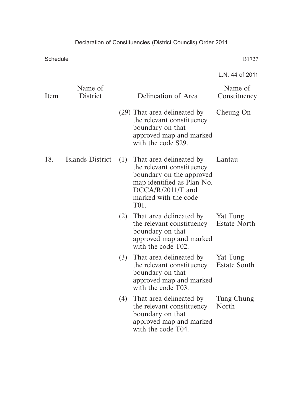## Declaration of Constituencies (District Councils) Order 2011

Schedule

|      |                     |     |                                                                                                                                                                       | L.N. 44 of 2011                 |
|------|---------------------|-----|-----------------------------------------------------------------------------------------------------------------------------------------------------------------------|---------------------------------|
| Item | Name of<br>District |     | Delineation of Area                                                                                                                                                   | Name of<br>Constituency         |
|      |                     |     | (29) That area delineated by<br>the relevant constituency<br>boundary on that<br>approved map and marked<br>with the code S29.                                        | Cheung On                       |
| 18.  | Islands District    | (1) | That area delineated by<br>the relevant constituency<br>boundary on the approved<br>map identified as Plan No.<br>$DCCA/R/2011/T$ and<br>marked with the code<br>T01. | Lantau                          |
|      |                     | (2) | That area delineated by<br>the relevant constituency<br>boundary on that<br>approved map and marked<br>with the code T02.                                             | Yat Tung<br><b>Estate North</b> |
|      |                     | (3) | That area delineated by<br>the relevant constituency<br>boundary on that<br>approved map and marked<br>with the code T03.                                             | Yat Tung<br><b>Estate South</b> |
|      |                     | (4) | That area delineated by<br>the relevant constituency<br>boundary on that<br>approved map and marked<br>with the code T04.                                             | Tung Chung<br>North             |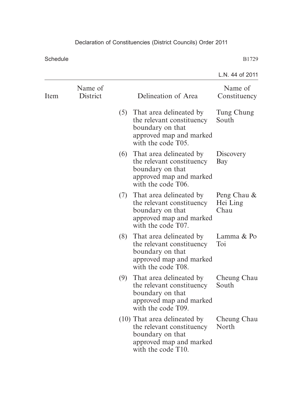Schedule

|      |                     |     |                                                                                                                                  | L.N. 44 of 2011                 |
|------|---------------------|-----|----------------------------------------------------------------------------------------------------------------------------------|---------------------------------|
| Item | Name of<br>District |     | Delineation of Area                                                                                                              | Name of<br>Constituency         |
|      |                     |     | (5) That area delineated by<br>the relevant constituency<br>boundary on that<br>approved map and marked<br>with the code T05.    | Tung Chung<br>South             |
|      |                     |     | (6) That area delineated by<br>the relevant constituency<br>boundary on that<br>approved map and marked<br>with the code T06.    | Discovery<br>Bay                |
|      |                     |     | (7) That area delineated by<br>the relevant constituency<br>boundary on that<br>approved map and marked<br>with the code T07.    | Peng Chau &<br>Hei Ling<br>Chau |
|      |                     | (8) | That area delineated by<br>the relevant constituency<br>boundary on that<br>approved map and marked<br>with the code T08.        | Lamma & Po<br>Toi               |
|      |                     | (9) | That area delineated by<br>the relevant constituency<br>boundary on that<br>approved map and marked<br>with the code T09.        | Cheung Chau<br>South            |
|      |                     |     | $(10)$ That area delineated by<br>the relevant constituency<br>boundary on that<br>approved map and marked<br>with the code T10. | Cheung Chau<br>North            |
|      |                     |     |                                                                                                                                  |                                 |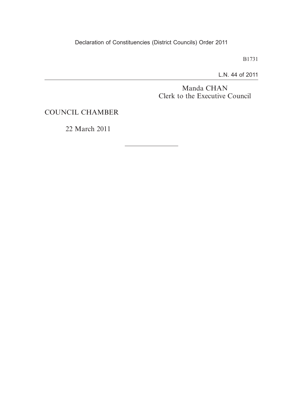B1731

L.N. 44 of 2011

Manda CHAN Clerk to the Executive Council

COUNCIL CHAMBER

22 March 2011